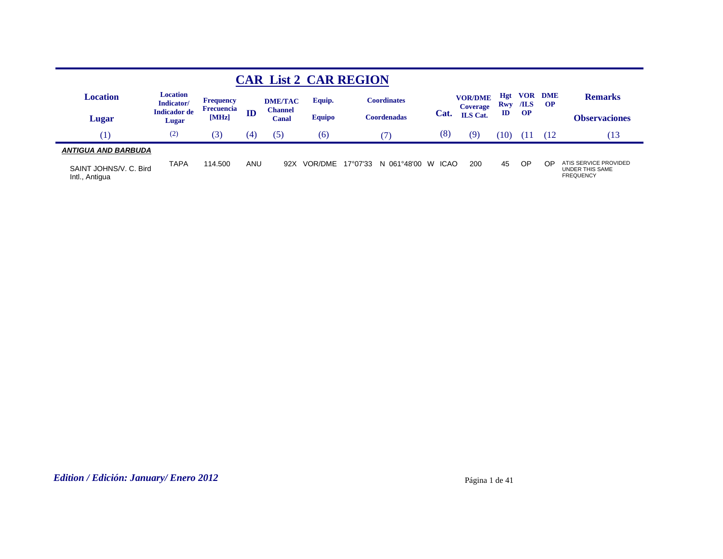|                                          |                               |                     |     |                  |               | <b>CAR List 2 CAR REGION</b> |                  |                                   |                          |             |                         |                                                                     |
|------------------------------------------|-------------------------------|---------------------|-----|------------------|---------------|------------------------------|------------------|-----------------------------------|--------------------------|-------------|-------------------------|---------------------------------------------------------------------|
| Location                                 | <b>Location</b><br>Indicator/ | Frequency           |     | <b>DME/TAC</b>   | Equip.        | <b>Coordinates</b>           |                  | <b>VOR/DME</b><br><b>Coverage</b> | <b>Hgt</b><br><b>Rwy</b> | VOR<br>/ILS | <b>DME</b><br><b>OP</b> | <b>Remarks</b>                                                      |
| Lugar                                    | <b>Indicador</b> de<br>Lugar  | Frecuencia<br>[MHz] | ID  | Channel<br>Canal | <b>Equipo</b> | Coordenadas                  | Cat.             | <b>ILS</b> Cat.                   | $\mathbf{ID}$            | <b>OP</b>   |                         | <b>Observaciones</b>                                                |
|                                          | (2)                           | (3)                 | (4) | (5)              | (6)           |                              | (8)              | (9`                               | 10                       |             |                         | (13)                                                                |
| <b>ANTIGUA AND BARBUDA</b>               |                               |                     |     |                  |               |                              |                  |                                   |                          |             |                         |                                                                     |
| SAINT JOHNS/V. C. Bird<br>Intl., Antigua | <b>TAPA</b>                   | 114.500             | ANU | 92X              | VOR/DME       | 17°07'33<br>061°48'00<br>N   | <b>ICAO</b><br>W | 200                               | 45                       | OP          | OP                      | ATIS SERVICE PROVIDED<br><b>UNDER THIS SAME</b><br><b>FREQUENCY</b> |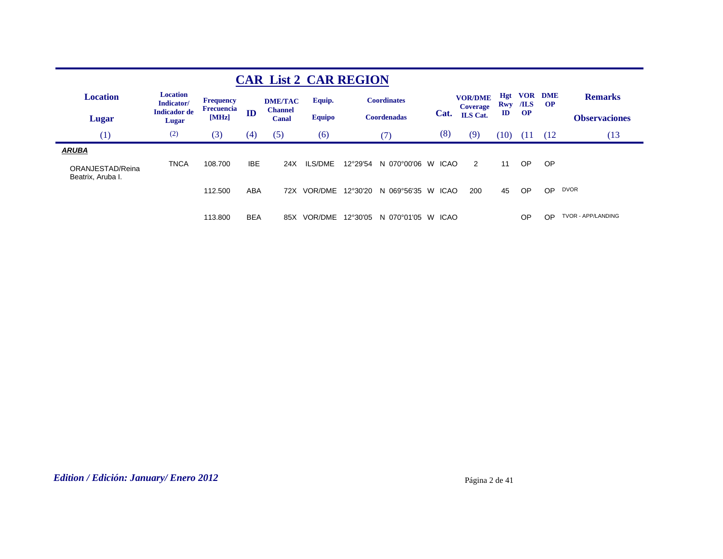|                                                       |                               |                            |            |                                | <b>CAR List 2 CAR REGION</b> |          |                    |                  |                                   |                          |                          |                         |                      |
|-------------------------------------------------------|-------------------------------|----------------------------|------------|--------------------------------|------------------------------|----------|--------------------|------------------|-----------------------------------|--------------------------|--------------------------|-------------------------|----------------------|
| <b>Location</b>                                       | <b>Location</b><br>Indicator/ | <b>Frequency</b>           |            | <b>DME/TAC</b>                 | Equip.                       |          | <b>Coordinates</b> |                  | <b>VOR/DME</b><br><b>Coverage</b> | <b>Hgt</b><br><b>Rwy</b> | <b>VOR</b><br>$\sqrt{J}$ | <b>DME</b><br><b>OP</b> | <b>Remarks</b>       |
| Lugar                                                 | <b>Indicador</b> de<br>Lugar  | <b>Frecuencia</b><br>[MHz] | ID         | <b>Channel</b><br><b>Canal</b> | <b>Equipo</b>                |          | <b>Coordenadas</b> | Cat.             | <b>ILS</b> Cat.                   | $\mathbf{ID}$            | <b>OP</b>                |                         | <b>Observaciones</b> |
| (1)                                                   | (2)                           | (3)                        | (4)        | (5)                            | (6)                          |          | (7)                | (8)              | (9)                               | (10)                     | - (11                    | (12                     | (13                  |
| <b>ARUBA</b><br>ORANJESTAD/Reina<br>Beatrix, Aruba I. | <b>TNCA</b>                   | 108.700                    | <b>IBE</b> | 24X                            | ILS/DME                      | 12°29'54 | N 070°00'06        | W<br>ICAO        | 2                                 | 11                       | OP.                      | <b>OP</b>               |                      |
|                                                       |                               | 112,500                    | ABA        | 72X                            | VOR/DME                      | 12°30'20 | N 069°56'35        | W<br><b>ICAO</b> | 200                               | 45                       | OP                       | <b>OP</b>               | <b>DVOR</b>          |
|                                                       |                               | 113,800                    | <b>BEA</b> | 85X                            | VOR/DME                      | 12°30'05 | N 070°01'05        | <b>ICAO</b><br>W |                                   |                          | OP                       | <b>OP</b>               | TVOR - APP/LANDING   |

## *Edition / Edición: January/ Enero 2012* Página 2 de 41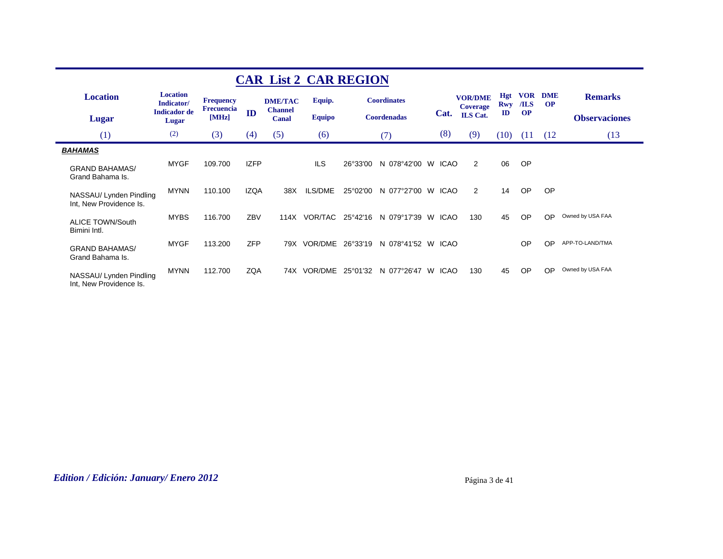|                                                    |                               |                                       |             | <b>CAR List 2 CAR REGION</b>     |               |          |                    |   |             |                                   |                   |                    |                         |                      |
|----------------------------------------------------|-------------------------------|---------------------------------------|-------------|----------------------------------|---------------|----------|--------------------|---|-------------|-----------------------------------|-------------------|--------------------|-------------------------|----------------------|
| <b>Location</b>                                    | <b>Location</b><br>Indicator/ | <b>Frequency</b><br><b>Frecuencia</b> |             | <b>DME/TAC</b><br><b>Channel</b> | Equip.        |          | <b>Coordinates</b> |   |             | <b>VOR/DME</b><br><b>Coverage</b> | Hgt<br><b>Rwy</b> | <b>VOR</b><br>/ILS | <b>DME</b><br><b>OP</b> | <b>Remarks</b>       |
| Lugar                                              | <b>Indicador</b> de<br>Lugar  | [MHz]                                 | ID          | Canal                            | <b>Equipo</b> |          | <b>Coordenadas</b> |   | Cat.        | <b>ILS</b> Cat.                   | $\mathbf{ID}$     | <b>OP</b>          |                         | <b>Observaciones</b> |
| (1)                                                | (2)                           | (3)                                   | (4)         | (5)                              | (6)           |          | (7)                |   | (8)         | (9)                               | (10)              | (11)               | (12)                    | (13)                 |
| <b>BAHAMAS</b>                                     |                               |                                       |             |                                  |               |          |                    |   |             |                                   |                   |                    |                         |                      |
| <b>GRAND BAHAMAS/</b><br>Grand Bahama Is.          | <b>MYGF</b>                   | 109.700                               | <b>IZFP</b> |                                  | <b>ILS</b>    | 26°33'00 | N 078°42'00        | W | <b>ICAO</b> | 2                                 | 06                | <b>OP</b>          |                         |                      |
| NASSAU/ Lynden Pindling<br>Int, New Providence Is. | <b>MYNN</b>                   | 110.100                               | <b>IZQA</b> | 38X                              | ILS/DME       | 25°02'00 | N 077°27'00 W      |   | ICAO        | 2                                 | 14                | <b>OP</b>          | OP                      |                      |
| <b>ALICE TOWN/South</b><br>Bimini Intl.            | <b>MYBS</b>                   | 116.700                               | ZBV         | 114X                             | VOR/TAC       | 25°42'16 | N 079°17'39 W      |   | <b>ICAO</b> | 130                               | 45                | <b>OP</b>          | OP                      | Owned by USA FAA     |
| <b>GRAND BAHAMAS/</b><br>Grand Bahama Is.          | <b>MYGF</b>                   | 113.200                               | <b>ZFP</b>  | 79X                              | VOR/DME       | 26°33'19 | N 078°41'52 W      |   | <b>ICAO</b> |                                   |                   | OP                 | OP                      | APP-TO-LAND/TMA      |
| NASSAU/ Lynden Pindling<br>Int, New Providence Is. | <b>MYNN</b>                   | 112.700                               | <b>ZQA</b>  |                                  | 74X VOR/DME   | 25°01′32 | N 077°26'47        | W | <b>ICAO</b> | 130                               | 45                | <b>OP</b>          | OP                      | Owned by USA FAA     |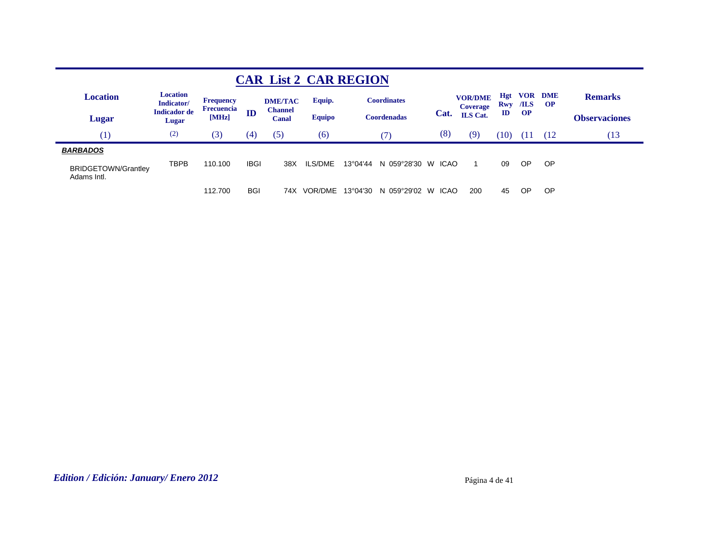|                                           |                               |                     |             |                         | <b>CAR List 2 CAR REGION</b> |                   |                    |                  |                                   |               |                               |                         |                      |
|-------------------------------------------|-------------------------------|---------------------|-------------|-------------------------|------------------------------|-------------------|--------------------|------------------|-----------------------------------|---------------|-------------------------------|-------------------------|----------------------|
| <b>Location</b>                           | <b>Location</b><br>Indicator/ | <b>Frequency</b>    |             | <b>DME/TAC</b>          | Equip.                       |                   | <b>Coordinates</b> |                  | <b>VOR/DME</b><br><b>Coverage</b> | <b>Hgt</b>    | <b>VOR</b><br><b>Rwy</b> /ILS | <b>DME</b><br><b>OP</b> | <b>Remarks</b>       |
| Lugar                                     | <b>Indicador de</b><br>Lugar  | Frecuencia<br>[MHz] | ID          | <b>Channel</b><br>Canal | <b>Equipo</b>                |                   | <b>Coordenadas</b> | Cat.             | <b>ILS</b> Cat.                   | $\mathbf{ID}$ | <b>OP</b>                     |                         | <b>Observaciones</b> |
| (1)                                       | (2)                           | (3)                 | (4)         | (5)                     | (6)                          |                   | 7)                 | (8)              | (9)                               | (10)          | ŒΠ                            | (12                     | Ί3                   |
| <b>BARBADOS</b>                           |                               |                     |             |                         |                              |                   |                    |                  |                                   |               |                               |                         |                      |
| <b>BRIDGETOWN/Grantley</b><br>Adams Intl. | TBPB                          | 110.100             | <b>IBGI</b> | 38X                     | ILS/DME                      | $13^{\circ}04'44$ | N 059°28'30        | <b>ICAO</b><br>W |                                   | 09            | OP                            | OP                      |                      |
|                                           |                               | 112.700             | <b>BGI</b>  | 74X                     | VOR/DMF                      | $13^{\circ}04'30$ | N 059°29'02        | <b>ICAO</b><br>W | 200                               | 45            | <b>OP</b>                     | OP                      |                      |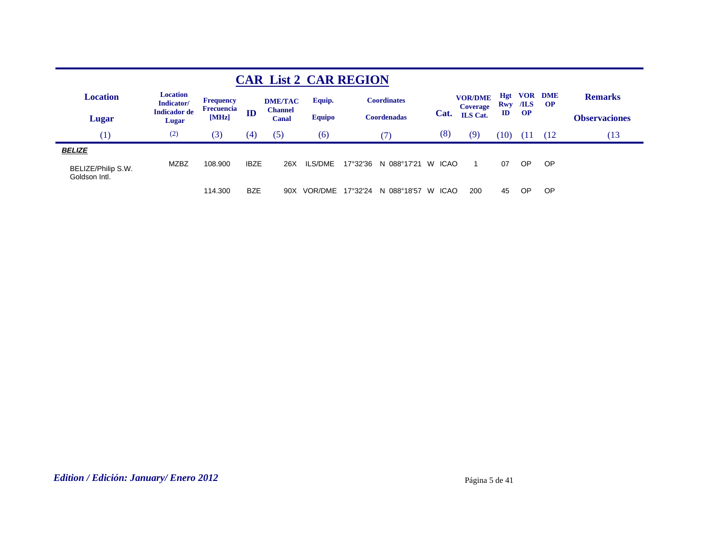|                                                      |                               |                            |             | <b>CAR List 2 CAR REGION</b> |               |          |                      |                   |                                   |                   |                    |                        |                      |
|------------------------------------------------------|-------------------------------|----------------------------|-------------|------------------------------|---------------|----------|----------------------|-------------------|-----------------------------------|-------------------|--------------------|------------------------|----------------------|
| <b>Location</b>                                      | <b>Location</b><br>Indicator/ | Frequency                  |             | <b>DME/TAC</b>               | Equip.        |          | <b>Coordinates</b>   |                   | <b>VOR/DME</b><br><b>Coverage</b> | Hgt<br><b>Rwy</b> | <b>VOR</b><br>/ILS | <b>DME</b><br>$\Omega$ | <b>Remarks</b>       |
| Lugar                                                | <b>Indicador</b> de<br>Lugar  | <b>Frecuencia</b><br>[MHz] | ID          | <b>Channel</b><br>Canal      | <b>Equipo</b> |          | <b>Coordenadas</b>   | Cat.              | <b>ILS</b> Cat.                   | $\mathbf{I}$      | <b>OP</b>          |                        | <b>Observaciones</b> |
| (1)                                                  | (2)                           | (3)                        | (4)         | (5)                          | (6)           |          | 7)                   | (8)               | (9)                               | (10)              | (11                | (12)                   | Ί3                   |
| <b>BELIZE</b><br>BELIZE/Philip S.W.<br>Goldson Intl. | <b>MZBZ</b>                   | 108,900                    | <b>IBZE</b> | 26X                          | ILS/DME       | 17°32'36 | N 088°17'21          | <b>ICAO</b><br>W  |                                   | 07                | OP                 | <b>OP</b>              |                      |
|                                                      |                               | 114.300                    | <b>BZE</b>  | 90X                          | VOR/DME       |          | 17°32'24 N 088°18'57 | <b>ICAO</b><br>W. | 200                               | 45                | <b>OP</b>          | <b>OP</b>              |                      |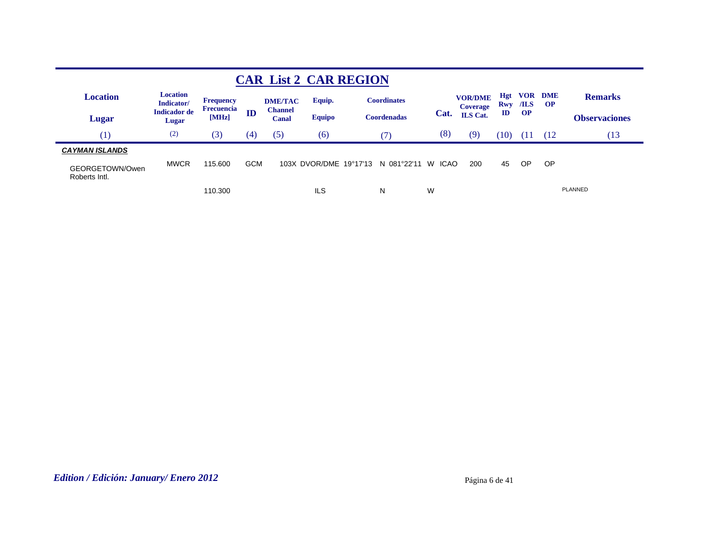|                                          |                               |                            |            | <b>CAR List 2 CAR REGION</b> |                        |                    |                  |                                   |                   |                    |                         |                      |
|------------------------------------------|-------------------------------|----------------------------|------------|------------------------------|------------------------|--------------------|------------------|-----------------------------------|-------------------|--------------------|-------------------------|----------------------|
| <b>Location</b>                          | <b>Location</b><br>Indicator/ | <b>Frequency</b>           |            | <b>DME/TAC</b>               | Equip.                 | <b>Coordinates</b> |                  | <b>VOR/DME</b><br><b>Coverage</b> | <b>Hgt</b><br>Rwy | <b>VOR</b><br>/ILS | <b>DME</b><br><b>OP</b> | <b>Remarks</b>       |
| <b>Lugar</b>                             | <b>Indicador</b> de<br>Lugar  | <b>Frecuencia</b><br>[MHz] | ID         | <b>Channel</b><br>Canal      | <b>Equipo</b>          | <b>Coordenadas</b> | Cat.             | <b>ILS</b> Cat.                   | ID                | <b>OP</b>          |                         | <b>Observaciones</b> |
| (1)                                      | (2)                           | (3)                        | (4)        | (5)                          | (6)                    | (7)                | (8)              | (9)                               | Ί0                | 11                 | (12)                    | 13                   |
| <b>CAYMAN ISLANDS</b><br>GEORGETOWN/Owen | <b>MWCR</b>                   | 115.600                    | <b>GCM</b> |                              | 103X DVOR/DME 19°17'13 | N 081°22'11        | W<br><b>ICAO</b> | 200                               | 45                | <b>OP</b>          | <b>OP</b>               |                      |
| Roberts Intl.                            |                               | 110.300                    |            |                              | ILS                    | N                  | W                |                                   |                   |                    |                         | PLANNED              |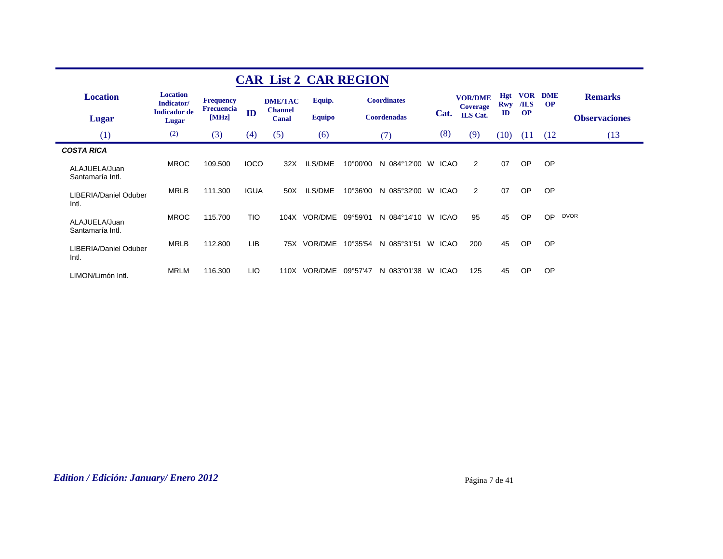|                                   | <b>CAR List 2 CAR REGION</b>  |                                |             |                         |               |          |                    |   |             |                                   |                   |                    |                         |                      |  |
|-----------------------------------|-------------------------------|--------------------------------|-------------|-------------------------|---------------|----------|--------------------|---|-------------|-----------------------------------|-------------------|--------------------|-------------------------|----------------------|--|
| <b>Location</b>                   | <b>Location</b><br>Indicator/ | <b>Frequency</b><br>Frecuencia |             | <b>DME/TAC</b>          | Equip.        |          | <b>Coordinates</b> |   |             | <b>VOR/DME</b><br><b>Coverage</b> | <b>Hgt</b><br>Rwy | <b>VOR</b><br>/ILS | <b>DME</b><br><b>OP</b> | <b>Remarks</b>       |  |
| <b>Lugar</b>                      | <b>Indicador</b> de<br>Lugar  | [MHz]                          | ID          | <b>Channel</b><br>Canal | <b>Equipo</b> |          | <b>Coordenadas</b> |   | Cat.        | ILS Cat.                          | $\mathbf{ID}$     | <b>OP</b>          |                         | <b>Observaciones</b> |  |
| (1)                               | (2)                           | (3)                            | (4)         | (5)                     | (6)           |          | (7)                |   | (8)         | (9)                               | (10)              | (11)               | (12)                    | (13)                 |  |
| <b>COSTA RICA</b>                 |                               |                                |             |                         |               |          |                    |   |             |                                   |                   |                    |                         |                      |  |
| ALAJUELA/Juan<br>Santamaría Intl. | <b>MROC</b>                   | 109.500                        | <b>IOCO</b> | 32X                     | ILS/DME       | 10°00'00 | N 084°12'00 W      |   | ICAO        | $\overline{2}$                    | 07                | OP                 | <b>OP</b>               |                      |  |
| LIBERIA/Daniel Oduber<br>Intl.    | <b>MRLB</b>                   | 111.300                        | <b>IGUA</b> | 50X                     | ILS/DME       | 10°36'00 | N 085°32'00 W      |   | ICAO        | 2                                 | 07                | OP                 | <b>OP</b>               |                      |  |
| ALAJUELA/Juan<br>Santamaría Intl. | <b>MROC</b>                   | 115.700                        | <b>TIO</b>  | 104X                    | VOR/DME       | 09°59'01 | N 084°14'10 W      |   | ICAO        | 95                                | 45                | OP                 | <b>OP</b>               | <b>DVOR</b>          |  |
| LIBERIA/Daniel Oduber<br>Intl.    | <b>MRLB</b>                   | 112.800                        | LIB         | 75X                     | VOR/DME       | 10°35'54 | N 085°31'51        | W | <b>ICAO</b> | 200                               | 45                | OP                 | <b>OP</b>               |                      |  |
| LIMON/Limón Intl.                 | <b>MRLM</b>                   | 116.300                        | LIO.        | 110X                    | VOR/DME       | 09°57'47 | N 083°01'38        | W | <b>ICAO</b> | 125                               | 45                | <b>OP</b>          | <b>OP</b>               |                      |  |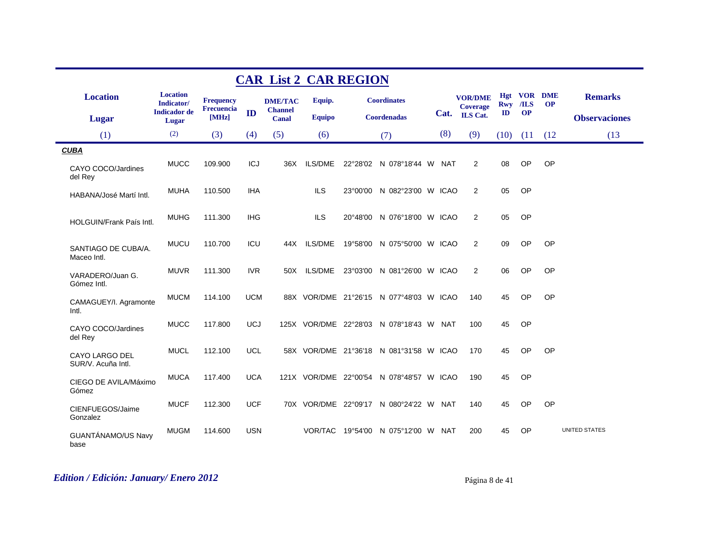|                                      |                                                      |                                       |            | <b>CAR List 2 CAR REGION</b>     |                |                                          |     |                                   |               |                      |           |                      |
|--------------------------------------|------------------------------------------------------|---------------------------------------|------------|----------------------------------|----------------|------------------------------------------|-----|-----------------------------------|---------------|----------------------|-----------|----------------------|
| <b>Location</b>                      | <b>Location</b><br>Indicator/<br><b>Indicador</b> de | <b>Frequency</b><br><b>Frecuencia</b> |            | <b>DME/TAC</b><br><b>Channel</b> | Equip.         | <b>Coordinates</b>                       |     | <b>VOR/DME</b><br><b>Coverage</b> | <b>Rwy</b>    | Hgt VOR DME<br>$ILS$ | <b>OP</b> | <b>Remarks</b>       |
| Lugar                                | Lugar                                                | [MHz]                                 | ID         | Canal                            | <b>Equipo</b>  | <b>Coordenadas</b>                       |     | Cat. ILS Cat.                     | $\mathbf{ID}$ | <b>OP</b>            |           | <b>Observaciones</b> |
| (1)                                  | (2)                                                  | (3)                                   | (4)        | (5)                              | (6)            | (7)                                      | (8) | (9)                               | (10)          | (11)                 | (12)      | (13)                 |
| <b>CUBA</b>                          |                                                      |                                       |            |                                  |                |                                          |     |                                   |               |                      |           |                      |
| CAYO COCO/Jardines<br>del Rey        | <b>MUCC</b>                                          | 109.900                               | <b>ICJ</b> | 36X                              | ILS/DME        | 22°28'02 N 078°18'44 W NAT               |     | 2                                 | 08            | OP                   | OP        |                      |
| HABANA/José Martí Intl.              | <b>MUHA</b>                                          | 110.500                               | IHA        |                                  | <b>ILS</b>     | 23°00'00 N 082°23'00 W ICAO              |     | 2                                 | 05            | <b>OP</b>            |           |                      |
| HOLGUIN/Frank País Intl.             | <b>MUHG</b>                                          | 111.300                               | <b>IHG</b> |                                  | <b>ILS</b>     | 20°48'00 N 076°18'00 W ICAO              |     | 2                                 | 05            | OP                   |           |                      |
| SANTIAGO DE CUBA/A.<br>Maceo Intl.   | <b>MUCU</b>                                          | 110.700                               | ICU        | 44X                              | <b>ILS/DME</b> | 19°58'00 N 075°50'00 W ICAO              |     | 2                                 | 09            | OP                   | OP        |                      |
| VARADERO/Juan G.<br>Gómez Intl.      | <b>MUVR</b>                                          | 111.300                               | <b>IVR</b> |                                  | 50X ILS/DME    | 23°03'00 N 081°26'00 W ICAO              |     | $\overline{2}$                    | 06            | OP                   | OP        |                      |
| CAMAGUEY/I. Agramonte<br>Intl.       | <b>MUCM</b>                                          | 114.100                               | <b>UCM</b> |                                  |                | 88X VOR/DME 21°26'15 N 077°48'03 W ICAO  |     | 140                               | 45            | OP                   | OP        |                      |
| CAYO COCO/Jardines<br>del Rey        | <b>MUCC</b>                                          | 117.800                               | <b>UCJ</b> |                                  |                | 125X VOR/DME 22°28'03 N 078°18'43 W NAT  |     | 100                               | 45            | <b>OP</b>            |           |                      |
| CAYO LARGO DEL<br>SUR/V. Acuña Intl. | <b>MUCL</b>                                          | 112.100                               | <b>UCL</b> |                                  |                | 58X VOR/DME 21°36'18 N 081°31'58 W ICAO  |     | 170                               | 45            | OP                   | OP        |                      |
| CIEGO DE AVILA/Máximo<br>Gómez       | <b>MUCA</b>                                          | 117.400                               | <b>UCA</b> |                                  |                | 121X VOR/DME 22°00'54 N 078°48'57 W ICAO |     | 190                               | 45            | <b>OP</b>            |           |                      |
| CIENFUEGOS/Jaime<br>Gonzalez         | <b>MUCF</b>                                          | 112.300                               | <b>UCF</b> |                                  |                | 70X VOR/DME 22°09'17 N 080°24'22 W NAT   |     | 140                               | 45            | OP                   | OP        |                      |
| GUANTÁNAMO/US Navy<br>base           | <b>MUGM</b>                                          | 114.600                               | <b>USN</b> |                                  |                | VOR/TAC 19°54'00 N 075°12'00 W NAT       |     | 200                               | 45            | <b>OP</b>            |           | <b>UNITED STATES</b> |

# *Edition / Edición: January/ Enero 2012* Página 8 de 41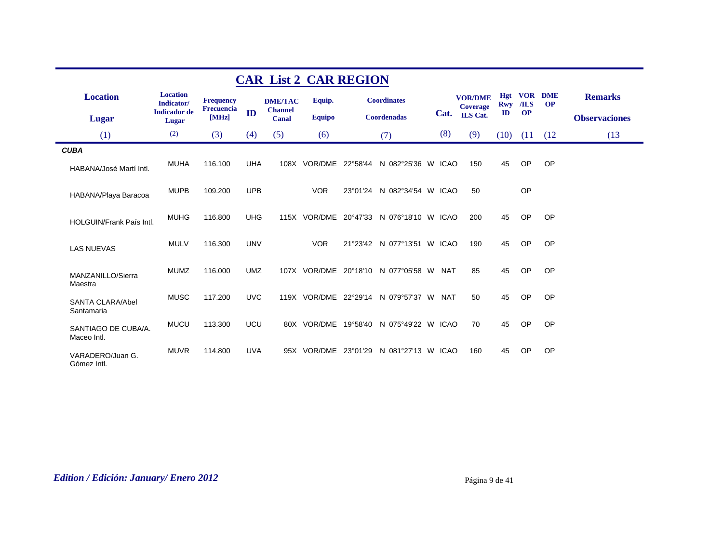|                                       |                               |                            |            |                         | <b>CAR List 2 CAR REGION</b> |                                          |            |                                   |                   |           |                             |                      |
|---------------------------------------|-------------------------------|----------------------------|------------|-------------------------|------------------------------|------------------------------------------|------------|-----------------------------------|-------------------|-----------|-----------------------------|----------------------|
| <b>Location</b>                       | <b>Location</b><br>Indicator/ | <b>Frequency</b>           |            | <b>DME/TAC</b>          | Equip.                       | <b>Coordinates</b>                       |            | <b>VOR/DME</b><br><b>Coverage</b> | Hgt<br><b>Rwy</b> | $ILS$     | <b>VOR DME</b><br><b>OP</b> | <b>Remarks</b>       |
| <b>Lugar</b>                          | <b>Indicador</b> de<br>Lugar  | <b>Frecuencia</b><br>[MHz] | ID         | <b>Channel</b><br>Canal | <b>Equipo</b>                | Coordenadas                              |            | Cat. ILS Cat.                     | $\mathbf{ID}$     | <b>OP</b> |                             | <b>Observaciones</b> |
| (1)                                   | (2)                           | (3)                        | (4)        | (5)                     | (6)                          | (7)                                      | (8)        | (9)                               | (10)              | (11)      | (12)                        | (13)                 |
| <b>CUBA</b>                           |                               |                            |            |                         |                              |                                          |            |                                   |                   |           |                             |                      |
| HABANA/José Martí Intl.               | <b>MUHA</b>                   | 116.100                    | <b>UHA</b> |                         | 108X VOR/DME 22°58'44        | N 082°25'36 W ICAO                       |            | 150                               | 45                | OP        | OP                          |                      |
| HABANA/Playa Baracoa                  | <b>MUPB</b>                   | 109.200                    | <b>UPB</b> |                         | <b>VOR</b>                   | 23°01'24 N 082°34'54 W ICAO              |            | 50                                |                   | OP        |                             |                      |
| HOLGUIN/Frank País Intl.              | <b>MUHG</b>                   | 116,800                    | <b>UHG</b> |                         |                              | 115X VOR/DME 20°47'33 N 076°18'10 W ICAO |            | 200                               | 45                | OP        | OP                          |                      |
| <b>LAS NUEVAS</b>                     | <b>MULV</b>                   | 116.300                    | <b>UNV</b> |                         | <b>VOR</b>                   | 21°23'42 N 077°13'51 W ICAO              |            | 190                               | 45                | <b>OP</b> | OP                          |                      |
| MANZANILLO/Sierra<br>Maestra          | <b>MUMZ</b>                   | 116,000                    | <b>UMZ</b> |                         |                              | 107X VOR/DME 20°18'10 N 077°05'58 W      | <b>NAT</b> | 85                                | 45                | <b>OP</b> | OP                          |                      |
| <b>SANTA CLARA/Abel</b><br>Santamaria | <b>MUSC</b>                   | 117.200                    | <b>UVC</b> |                         |                              | 119X VOR/DME 22°29'14 N 079°57'37 W NAT  |            | 50                                | 45                | <b>OP</b> | OP                          |                      |
| SANTIAGO DE CUBA/A.<br>Maceo Intl.    | <b>MUCU</b>                   | 113,300                    | <b>UCU</b> |                         |                              | 80X VOR/DME 19°58'40 N 075°49'22 W ICAO  |            | 70                                | 45                | OP        | OP                          |                      |
| VARADERO/Juan G.<br>Gómez Intl.       | <b>MUVR</b>                   | 114.800                    | <b>UVA</b> |                         |                              | 95X VOR/DME 23°01'29 N 081°27'13 W ICAO  |            | 160                               | 45                | <b>OP</b> | OP                          |                      |

# *Edition / Edición: January/ Enero 2012* Página 9 de 41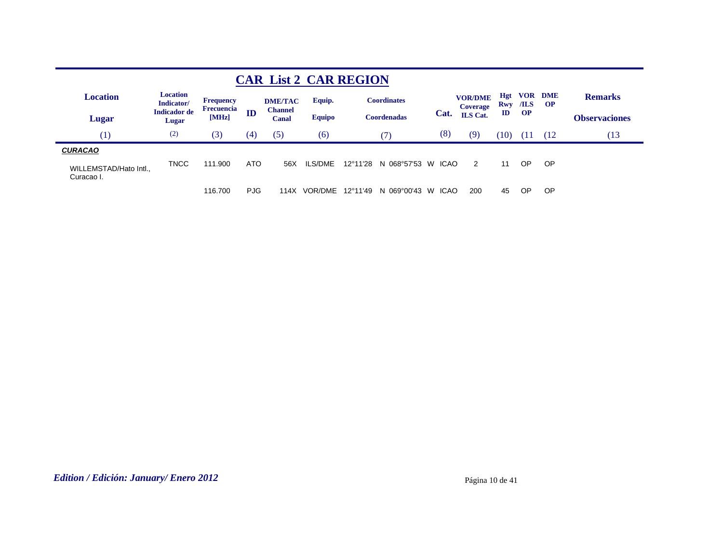|                                                        |                               |                     |            | <b>CAR List 2 CAR REGION</b> |                |          |                    |                  |                                   |                   |                    |                         |                      |
|--------------------------------------------------------|-------------------------------|---------------------|------------|------------------------------|----------------|----------|--------------------|------------------|-----------------------------------|-------------------|--------------------|-------------------------|----------------------|
| <b>Location</b>                                        | <b>Location</b><br>Indicator/ | <b>Frequency</b>    |            | <b>DME/TAC</b>               | Equip.         |          | <b>Coordinates</b> |                  | <b>VOR/DME</b><br><b>Coverage</b> | <b>Hgt</b><br>Rwy | <b>VOR</b><br>/ILS | <b>DME</b><br><b>OP</b> | <b>Remarks</b>       |
| Lugar                                                  | <b>Indicador de</b><br>Lugar  | Frecuencia<br>[MHz] | ID         | <b>Channel</b><br>Canal      | <b>Equipo</b>  |          | <b>Coordenadas</b> | Cat.             | <b>ILS</b> Cat.                   | $\mathbf{ID}$     | <b>OP</b>          |                         | <b>Observaciones</b> |
| (1)                                                    | (2)                           | (3)                 | (4)        | (5)                          | (6)            |          | (7)                | (8)              | (9)                               | (10)              | OU                 | (12)                    | 13                   |
| <b>CURACAO</b><br>WILLEMSTAD/Hato Intl.,<br>Curacao I. | <b>TNCC</b>                   | 111.900             | ATO        | 56X                          | <b>ILS/DME</b> | 12°11'28 | N 068°57'53 W      | ICAO             | 2                                 | 11                | OP                 | OP.                     |                      |
|                                                        |                               | 116,700             | <b>PJG</b> | 114X                         | VOR/DME        | 12°11'49 | N 069°00'43        | <b>ICAO</b><br>W | 200                               | 45                | OP                 | <b>OP</b>               |                      |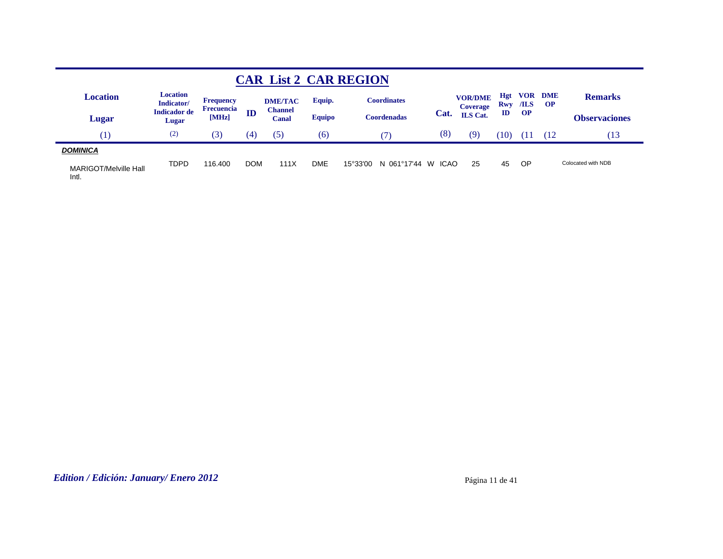|                                |                               |                                       |            |                         |               | <b>CAR List 2 CAR REGION</b> |                  |                                   |                          |             |                         |                      |
|--------------------------------|-------------------------------|---------------------------------------|------------|-------------------------|---------------|------------------------------|------------------|-----------------------------------|--------------------------|-------------|-------------------------|----------------------|
| <b>Location</b>                | <b>Location</b><br>Indicator/ | <b>Frequency</b><br><b>Frecuencia</b> |            | <b>DME/TAC</b>          | Equip.        | <b>Coordinates</b>           |                  | <b>VOR/DME</b><br><b>Coverage</b> | <b>Hgt</b><br><b>Rwy</b> | VOR<br>/ILS | <b>DME</b><br><b>OP</b> | <b>Remarks</b>       |
| Lugar                          | <b>Indicador</b> de<br>Lugar  | [MHz]                                 | ID         | <b>Channel</b><br>Canal | <b>Equipo</b> | Coordenadas                  | Cat.             | <b>ILS</b> Cat.                   | ID                       | <b>OP</b>   |                         | <b>Observaciones</b> |
| T                              | (2)                           | (3)                                   | (4)        | (5)                     | (6)           | 71                           | (8)              | (9)                               | (10                      | ' Lı        | (12)                    | (13                  |
| <b>DOMINICA</b>                |                               |                                       |            |                         |               |                              |                  |                                   |                          |             |                         |                      |
| MARIGOT/Melville Hall<br>Intl. | <b>TDPD</b>                   | 116.400                               | <b>DOM</b> | 111X                    | DME           | N 061°17'44<br>15°33'00      | <b>ICAO</b><br>W | 25                                | 45                       | OP.         |                         | Colocated with NDB   |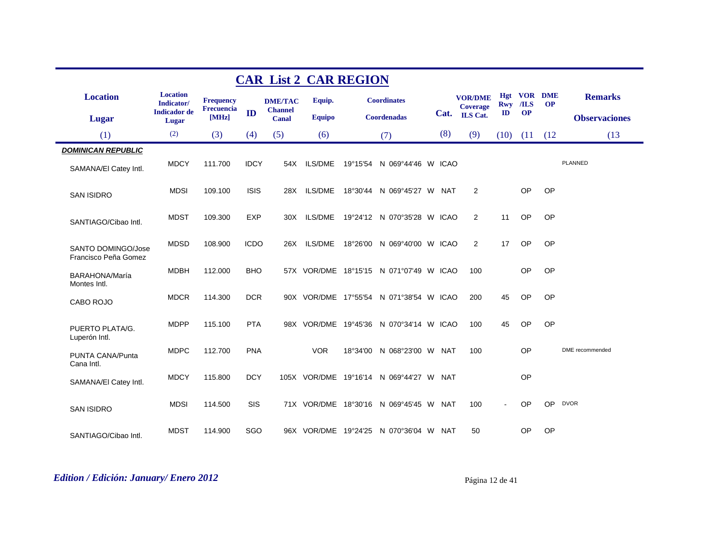|                                            |                               |                     |             | <b>CAR List 2 CAR REGION</b>   |                |                                         |     |                                   |               |                        |           |                      |
|--------------------------------------------|-------------------------------|---------------------|-------------|--------------------------------|----------------|-----------------------------------------|-----|-----------------------------------|---------------|------------------------|-----------|----------------------|
| <b>Location</b>                            | <b>Location</b><br>Indicator/ | <b>Frequency</b>    |             | <b>DME/TAC</b>                 | Equip.         | <b>Coordinates</b>                      |     | <b>VOR/DME</b><br><b>Coverage</b> | Hgt<br>Rwy    | <b>VOR DME</b><br>/ILS | <b>OP</b> | <b>Remarks</b>       |
| <b>Lugar</b>                               | <b>Indicador</b> de<br>Lugar  | Frecuencia<br>[MHz] | ID          | <b>Channel</b><br><b>Canal</b> | <b>Equipo</b>  | Coordenadas                             |     | Cat. ILS Cat.                     | $\mathbf{ID}$ | <b>OP</b>              |           | <b>Observaciones</b> |
| (1)                                        | (2)                           | (3)                 | (4)         | (5)                            | (6)            | (7)                                     | (8) | (9)                               | (10)          | (11)                   | (12)      | (13)                 |
| <b>DOMINICAN REPUBLIC</b>                  |                               |                     |             |                                |                |                                         |     |                                   |               |                        |           |                      |
| SAMANA/EI Catey Intl.                      | <b>MDCY</b>                   | 111.700             | <b>IDCY</b> | 54X                            | <b>ILS/DME</b> | 19°15'54 N 069°44'46 W ICAO             |     |                                   |               |                        |           | <b>PLANNED</b>       |
| <b>SAN ISIDRO</b>                          | <b>MDSI</b>                   | 109.100             | <b>ISIS</b> | 28X                            | <b>ILS/DME</b> | 18°30'44 N 069°45'27 W NAT              |     | $\overline{2}$                    |               | OP                     | OP        |                      |
| SANTIAGO/Cibao Intl.                       | <b>MDST</b>                   | 109.300             | <b>EXP</b>  | 30X                            | <b>ILS/DME</b> | 19°24'12 N 070°35'28 W ICAO             |     | 2                                 | 11            | OP                     | OP        |                      |
| SANTO DOMINGO/Jose<br>Francisco Peña Gomez | <b>MDSD</b>                   | 108.900             | <b>ICDO</b> | 26X                            | ILS/DME        | 18°26'00 N 069°40'00 W ICAO             |     | 2                                 | 17            | OP                     | OP        |                      |
| BARAHONA/María<br>Montes Intl.             | <b>MDBH</b>                   | 112.000             | <b>BHO</b>  |                                |                | 57X VOR/DME 18°15'15 N 071°07'49 W ICAO |     | 100                               |               | OP                     | <b>OP</b> |                      |
| CABO ROJO                                  | <b>MDCR</b>                   | 114.300             | <b>DCR</b>  |                                |                | 90X VOR/DME 17°55'54 N 071°38'54 W ICAO |     | 200                               | 45            | OP                     | OP        |                      |
| PUERTO PLATA/G.<br>Luperón Intl.           | <b>MDPP</b>                   | 115.100             | <b>PTA</b>  |                                |                | 98X VOR/DME 19°45'36 N 070°34'14 W ICAO |     | 100                               | 45            | OP                     | <b>OP</b> |                      |
| PUNTA CANA/Punta<br>Cana Intl.             | <b>MDPC</b>                   | 112.700             | <b>PNA</b>  |                                | <b>VOR</b>     | 18°34'00 N 068°23'00 W NAT              |     | 100                               |               | <b>OP</b>              |           | DME recommended      |
| SAMANA/El Catey Intl.                      | <b>MDCY</b>                   | 115.800             | <b>DCY</b>  |                                |                | 105X VOR/DME 19°16'14 N 069°44'27 W NAT |     |                                   |               | <b>OP</b>              |           |                      |
| <b>SAN ISIDRO</b>                          | <b>MDSI</b>                   | 114.500             | <b>SIS</b>  |                                |                | 71X VOR/DME 18°30'16 N 069°45'45 W NAT  |     | 100                               |               | OP                     | OP        | <b>DVOR</b>          |
| SANTIAGO/Cibao Intl.                       | <b>MDST</b>                   | 114.900             | SGO         |                                |                | 96X VOR/DME 19°24'25 N 070°36'04 W NAT  |     | 50                                |               | <b>OP</b>              | <b>OP</b> |                      |

# *Edition / Edición: January/ Enero 2012* Página 12 de 41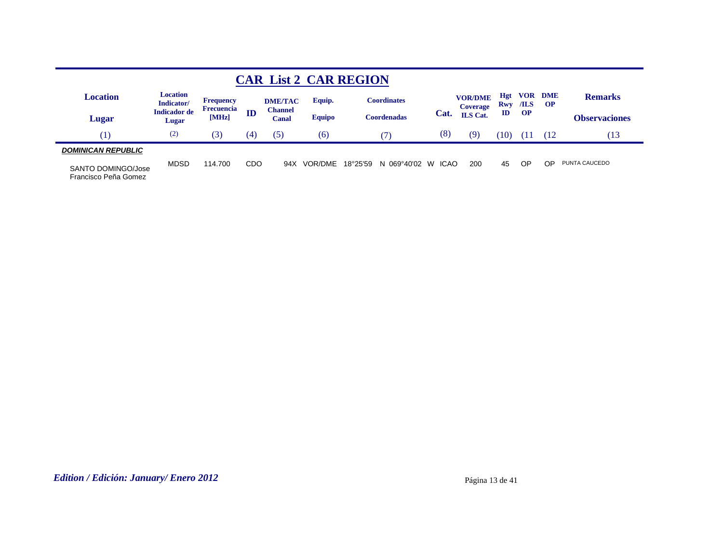|                                            |                              |                                       |     |                         |               | <b>CAR List 2 CAR REGION</b> |             |                                   |               |                    |                         |                      |
|--------------------------------------------|------------------------------|---------------------------------------|-----|-------------------------|---------------|------------------------------|-------------|-----------------------------------|---------------|--------------------|-------------------------|----------------------|
| Location                                   | Location<br>Indicator/       | <b>Frequency</b><br><b>Frecuencia</b> |     | <b>DME/TAC</b>          | Equip.        | <b>Coordinates</b>           |             | <b>VOR/DME</b><br><b>Coverage</b> | Hgt<br>Rwy    | <b>VOR</b><br>/ILS | <b>DME</b><br><b>OP</b> | <b>Remarks</b>       |
| Lugar                                      | <b>Indicador de</b><br>Lugar | [MHz]                                 | ID  | <b>Channel</b><br>Canal | <b>Equipo</b> | Coordenadas                  | Cat.        | <b>ILS</b> Cat.                   | $\mathbf{ID}$ | <b>OP</b>          |                         | <b>Observaciones</b> |
| [1]                                        | (2)                          | (3)                                   | (4) | (5)                     | (6)           |                              | (8)         | (9)                               | (10           | Ι.                 | 12                      | $\sqrt{13}$          |
| <b>DOMINICAN REPUBLIC</b>                  |                              |                                       |     |                         |               |                              |             |                                   |               |                    |                         |                      |
| SANTO DOMINGO/Jose<br>Francisco Peña Gomez | <b>MDSD</b>                  | 114.700                               | CDO | 94X                     | VOR/DME       | 18°25'59<br>N 069°40'02 W    | <b>ICAO</b> | 200                               | 45            | OP                 | OP                      | PUNTA CAUCEDO        |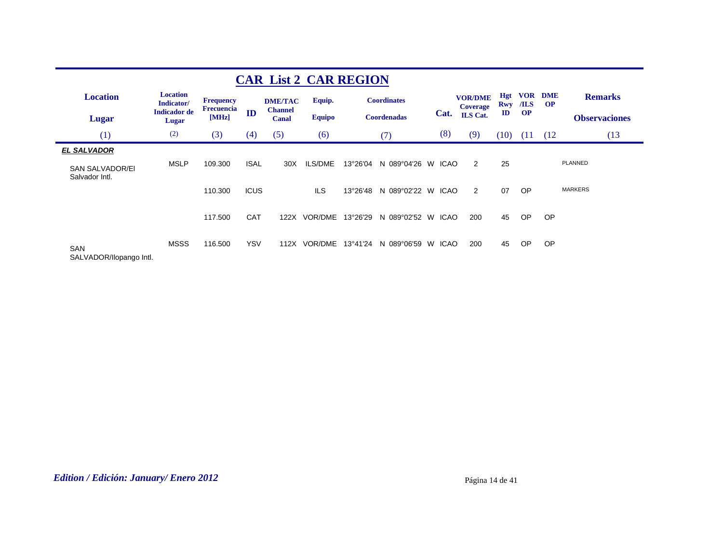|                                          |                               |                                       |             |                                  | <b>CAR List 2 CAR REGION</b> |          |                    |    |             |                            |                   |                    |                        |                      |
|------------------------------------------|-------------------------------|---------------------------------------|-------------|----------------------------------|------------------------------|----------|--------------------|----|-------------|----------------------------|-------------------|--------------------|------------------------|----------------------|
| <b>Location</b>                          | <b>Location</b><br>Indicator/ | <b>Frequency</b><br><b>Frecuencia</b> |             | <b>DME/TAC</b><br><b>Channel</b> | Equip.                       |          | <b>Coordinates</b> |    |             | <b>VOR/DME</b><br>Coverage | <b>Hgt</b><br>Rwy | <b>VOR</b><br>/ILS | <b>DME</b><br>$\Omega$ | <b>Remarks</b>       |
| Lugar                                    | <b>Indicador de</b><br>Lugar  | [MHz]                                 | ID          | <b>Canal</b>                     | <b>Equipo</b>                |          | <b>Coordenadas</b> |    | Cat.        | <b>ILS</b> Cat.            | $\mathbf{I}$      | <b>OP</b>          |                        | <b>Observaciones</b> |
| (1)                                      | (2)                           | (3)                                   | (4)         | (5)                              | (6)                          |          | (7)                |    | (8)         | (9)                        | (10)              | (11)               | (12)                   | (13)                 |
| <b>EL SALVADOR</b>                       |                               |                                       |             |                                  |                              |          |                    |    |             |                            |                   |                    |                        |                      |
| <b>SAN SALVADOR/EI</b><br>Salvador Intl. | <b>MSLP</b>                   | 109.300                               | <b>ISAL</b> | 30 <sub>X</sub>                  | ILS/DME                      | 13°26'04 | N 089°04'26 W      |    | ICAO        | 2                          | 25                |                    |                        | PLANNED              |
|                                          |                               | 110.300                               | <b>ICUS</b> |                                  | <b>ILS</b>                   | 13°26'48 | N 089°02'22 W      |    | <b>ICAO</b> | 2                          | 07                | <b>OP</b>          |                        | <b>MARKERS</b>       |
|                                          |                               | 117.500                               | <b>CAT</b>  | 122X                             | VOR/DME                      | 13°26'29 | N 089°02'52        | W  | <b>ICAO</b> | 200                        | 45                | OP                 | <b>OP</b>              |                      |
| <b>SAN</b><br>SALVADOR/Ilopango Intl.    | <b>MSSS</b>                   | 116,500                               | <b>YSV</b>  | 112X                             | VOR/DME                      | 13°41'24 | N 089°06'59        | W. | ICAO        | 200                        | 45                | OP                 | OP                     |                      |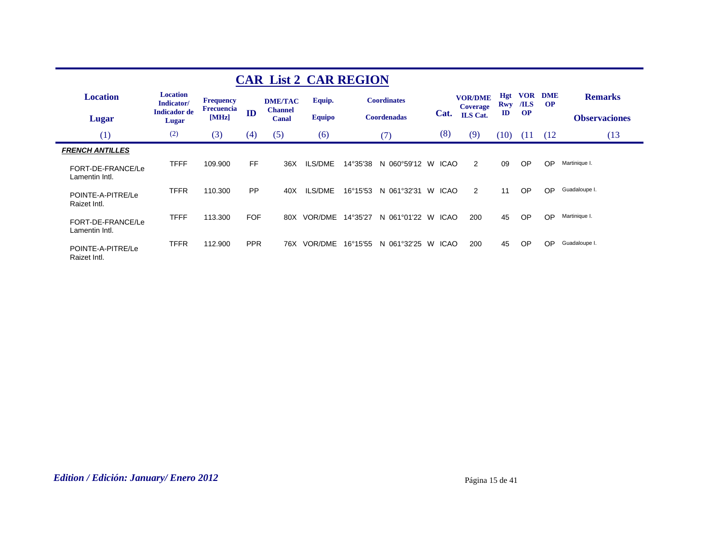|                                     |                               |                                       |            | <b>CAR List 2 CAR REGION</b>     |               |          |                    |   |             |                                   |                   |                    |                        |                      |
|-------------------------------------|-------------------------------|---------------------------------------|------------|----------------------------------|---------------|----------|--------------------|---|-------------|-----------------------------------|-------------------|--------------------|------------------------|----------------------|
| <b>Location</b>                     | <b>Location</b><br>Indicator/ | <b>Frequency</b><br><b>Frecuencia</b> |            | <b>DME/TAC</b><br><b>Channel</b> | Equip.        |          | <b>Coordinates</b> |   |             | <b>VOR/DME</b><br><b>Coverage</b> | <b>Hgt</b><br>Rwy | <b>VOR</b><br>/ILS | <b>DME</b><br>$\Omega$ | <b>Remarks</b>       |
| Lugar                               | <b>Indicador</b> de<br>Lugar  | [MHz]                                 | ID         | Canal                            | <b>Equipo</b> |          | <b>Coordenadas</b> |   | Cat.        | <b>ILS</b> Cat.                   | ID                | <b>OP</b>          |                        | <b>Observaciones</b> |
| (1)                                 | (2)                           | (3)                                   | (4)        | (5)                              | (6)           |          | (7)                |   | (8)         | (9)                               | (10)              | (11)               | (12)                   | (13)                 |
| <b>FRENCH ANTILLES</b>              |                               |                                       |            |                                  |               |          |                    |   |             |                                   |                   |                    |                        |                      |
| FORT-DE-FRANCE/Le<br>Lamentin Intl. | <b>TFFF</b>                   | 109.900                               | <b>FF</b>  | 36X                              | ILS/DME       | 14°35'38 | N 060°59'12        | W | ICAO        | 2                                 | 09                | <b>OP</b>          | OP                     | Martinique I.        |
| POINTE-A-PITRE/Le<br>Raizet Intl.   | <b>TFFR</b>                   | 110.300                               | PP         | 40X                              | ILS/DME       | 16°15'53 | N 061°32'31        | W | <b>ICAO</b> | 2                                 | 11                | <b>OP</b>          | OP                     | Guadaloupe I.        |
| FORT-DE-FRANCE/Le<br>Lamentin Intl. | <b>TFFF</b>                   | 113.300                               | <b>FOF</b> | 80X                              | VOR/DME       | 14°35'27 | N 061°01'22 W      |   | ICAO        | 200                               | 45                | <b>OP</b>          | OP                     | Martinique I.        |
| POINTE-A-PITRE/Le<br>Raizet Intl.   | <b>TFFR</b>                   | 112.900                               | <b>PPR</b> | 76X                              | VOR/DME       | 16°15'55 | N 061°32'25        | W | <b>ICAO</b> | 200                               | 45                | <b>OP</b>          | OP                     | Guadaloupe I.        |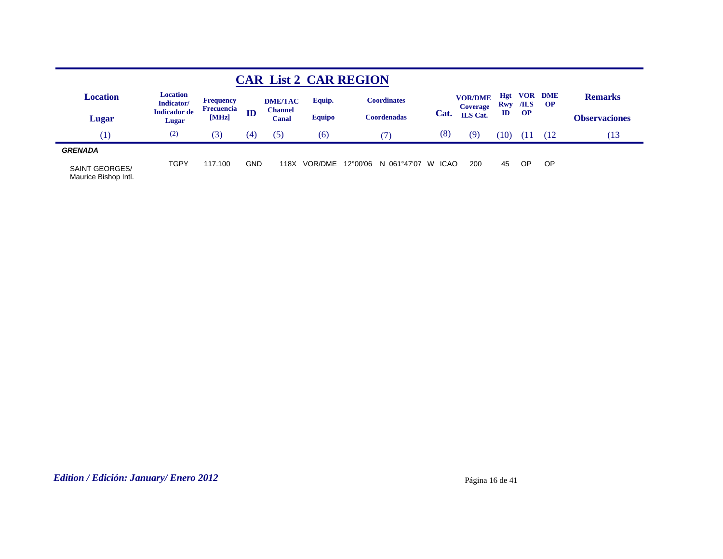|                                               |                               |                                       |            |                         |               | <b>CAR List 2 CAR REGION</b> |                   |                                   |                   |           |                             |                      |
|-----------------------------------------------|-------------------------------|---------------------------------------|------------|-------------------------|---------------|------------------------------|-------------------|-----------------------------------|-------------------|-----------|-----------------------------|----------------------|
| <b>Location</b>                               | <b>Location</b><br>Indicator/ | <b>Frequency</b><br><b>Frecuencia</b> |            | <b>DME/TAC</b>          | Equip.        | <b>Coordinates</b>           |                   | <b>VOR/DME</b><br><b>Coverage</b> | <b>Hgt</b><br>Rwy | /ILS      | <b>VOR DME</b><br><b>OP</b> | <b>Remarks</b>       |
| Lugar                                         | <b>Indicador de</b><br>Lugar  | [MHz]                                 | ID         | <b>Channel</b><br>Canal | <b>Equipo</b> | Coordenadas                  | Cat.              | <b>ILS</b> Cat.                   | ID                | <b>OP</b> |                             | <b>Observaciones</b> |
| (1)                                           | (2)                           | (3)                                   | (4)        | (5)                     | (6)           |                              | (8)               | (9                                | (10)              | т         | (12                         | .13                  |
| <b>GRENADA</b>                                |                               |                                       |            |                         |               |                              |                   |                                   |                   |           |                             |                      |
| <b>SAINT GEORGES/</b><br>Maurice Bishop Intl. | <b>TGPY</b>                   | 117.100                               | <b>GND</b> | 118X                    | VOR/DME       | 12°00'06<br>N 061°47'07      | <b>ICAO</b><br>W. | 200                               | 45                | <b>OP</b> | OP                          |                      |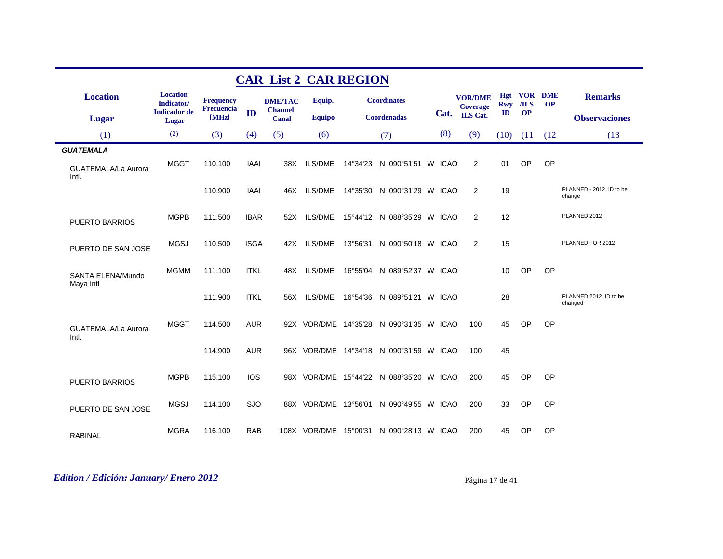|                                |                               |                     |             | <b>CAR List 2 CAR REGION</b> |                       |          |                                         |     |                                   |                   |           |                             |                                    |
|--------------------------------|-------------------------------|---------------------|-------------|------------------------------|-----------------------|----------|-----------------------------------------|-----|-----------------------------------|-------------------|-----------|-----------------------------|------------------------------------|
| <b>Location</b>                | <b>Location</b><br>Indicator/ | <b>Frequency</b>    |             | <b>DME/TAC</b>               | Equip.                |          | <b>Coordinates</b>                      |     | <b>VOR/DME</b><br><b>Coverage</b> | Hgt<br><b>Rwy</b> | $ILS$     | <b>VOR DME</b><br><b>OP</b> | <b>Remarks</b>                     |
| <b>Lugar</b>                   | <b>Indicador</b> de<br>Lugar  | Frecuencia<br>[MHz] | ID          | <b>Channel</b><br>Canal      | <b>Equipo</b>         |          | <b>Coordenadas</b>                      |     | Cat. ILS Cat.                     | $\mathbf{ID}$     | <b>OP</b> |                             | <b>Observaciones</b>               |
| (1)                            | (2)                           | (3)                 | (4)         | (5)                          | (6)                   |          | (7)                                     | (8) | (9)                               | (10)              | (11)      | (12)                        | (13)                               |
| <b>GUATEMALA</b>               |                               |                     |             |                              |                       |          |                                         |     |                                   |                   |           |                             |                                    |
| GUATEMALA/La Aurora<br>Intl.   | <b>MGGT</b>                   | 110.100             | <b>IAAI</b> | 38X                          | ILS/DME               | 14°34'23 | N 090°51'51 W ICAO                      |     | 2                                 | 01                | OP        | OP                          |                                    |
|                                |                               | 110.900             | <b>IAAI</b> | 46X                          | <b>ILS/DME</b>        |          | 14°35'30 N 090°31'29 W ICAO             |     | 2                                 | 19                |           |                             | PLANNED - 2012, ID to be<br>change |
| <b>PUERTO BARRIOS</b>          | <b>MGPB</b>                   | 111.500             | <b>IBAR</b> | 52X                          | <b>ILS/DME</b>        |          | 15°44'12 N 088°35'29 W ICAO             |     | 2                                 | 12                |           |                             | PLANNED 2012                       |
| PUERTO DE SAN JOSE             | <b>MGSJ</b>                   | 110.500             | <b>ISGA</b> | 42X                          | <b>ILS/DME</b>        | 13°56'31 | N 090°50'18 W ICAO                      |     | 2                                 | 15                |           |                             | PLANNED FOR 2012                   |
| SANTA ELENA/Mundo<br>Maya Intl | <b>MGMM</b>                   | 111.100             | <b>ITKL</b> | 48X                          | ILS/DME               | 16°55'04 | N 089°52'37 W ICAO                      |     |                                   | 10                | OP        | OP                          |                                    |
|                                |                               | 111.900             | <b>ITKL</b> | 56X                          | ILS/DME               |          | 16°54'36 N 089°51'21 W ICAO             |     |                                   | 28                |           |                             | PLANNED 2012. ID to be<br>changed  |
| GUATEMALA/La Aurora<br>Intl.   | <b>MGGT</b>                   | 114.500             | <b>AUR</b>  |                              |                       |          | 92X VOR/DME 14°35'28 N 090°31'35 W ICAO |     | 100                               | 45                | OP        | OP                          |                                    |
|                                |                               | 114.900             | <b>AUR</b>  |                              |                       |          | 96X VOR/DME 14°34'18 N 090°31'59 W ICAO |     | 100                               | 45                |           |                             |                                    |
| <b>PUERTO BARRIOS</b>          | <b>MGPB</b>                   | 115.100             | <b>IOS</b>  |                              |                       |          | 98X VOR/DME 15°44'22 N 088°35'20 W ICAO |     | 200                               | 45                | <b>OP</b> | <b>OP</b>                   |                                    |
| PUERTO DE SAN JOSE             | <b>MGSJ</b>                   | 114.100             | <b>SJO</b>  |                              | 88X VOR/DME 13°56'01  |          | N 090°49'55 W ICAO                      |     | 200                               | 33                | OP        | OP                          |                                    |
| <b>RABINAL</b>                 | <b>MGRA</b>                   | 116.100             | <b>RAB</b>  |                              | 108X VOR/DME 15°00'31 |          | N 090°28'13 W ICAO                      |     | 200                               | 45                | OP        | OP                          |                                    |

## *Edition / Edición: January/ Enero 2012* Página 17 de 41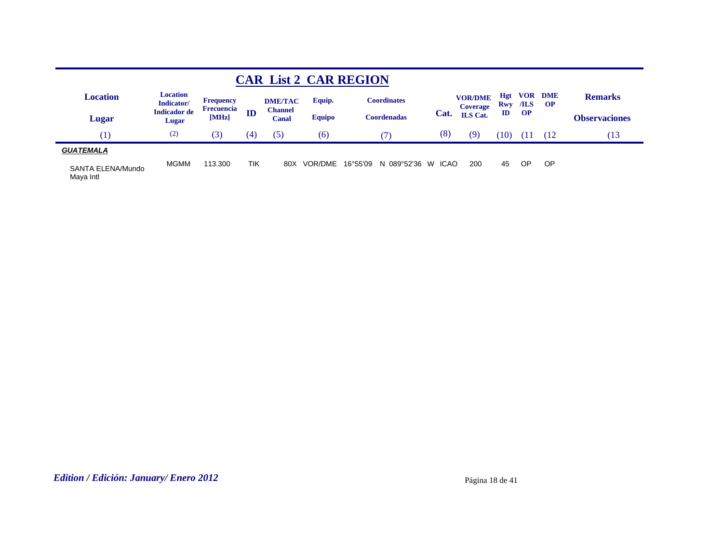|                                |                               |                                       |     |                         |               | <b>CAR List 2 CAR REGION</b> |                   |                                   |                   |             |                         |                      |
|--------------------------------|-------------------------------|---------------------------------------|-----|-------------------------|---------------|------------------------------|-------------------|-----------------------------------|-------------------|-------------|-------------------------|----------------------|
| <b>Location</b>                | <b>Location</b><br>Indicator/ | <b>Frequency</b><br><b>Frecuencia</b> |     | <b>DME/TAC</b>          | Equip.        | <b>Coordinates</b>           |                   | <b>VOR/DME</b><br><b>Coverage</b> | <b>Hgt</b><br>Rwy | VOR<br>/ILS | <b>DME</b><br><b>OP</b> | <b>Remarks</b>       |
| Lugar                          | <b>Indicador</b> de<br>Lugar  | [MHz]                                 | ID  | <b>Channel</b><br>Canal | <b>Equipo</b> | <b>Coordenadas</b>           | Cat.              | <b>ILS</b> Cat.                   | ID                | <b>OP</b>   |                         | <b>Observaciones</b> |
| $\left(1\right)$               | (2)                           | (3)                                   | (4) | (5)                     | (6)           |                              | (8)               | (9                                | 10                | Ш           | 12                      | 13                   |
| <b>GUATEMALA</b>               |                               |                                       |     |                         |               |                              |                   |                                   |                   |             |                         |                      |
| SANTA ELENA/Mundo<br>Maya Intl | <b>MGMM</b>                   | 113.300                               | TIK | 80X                     | VOR/DME       | 16°55'09<br>N 089°52'36      | <b>ICAO</b><br>W. | 200                               | 45                | ОP          | <b>OP</b>               |                      |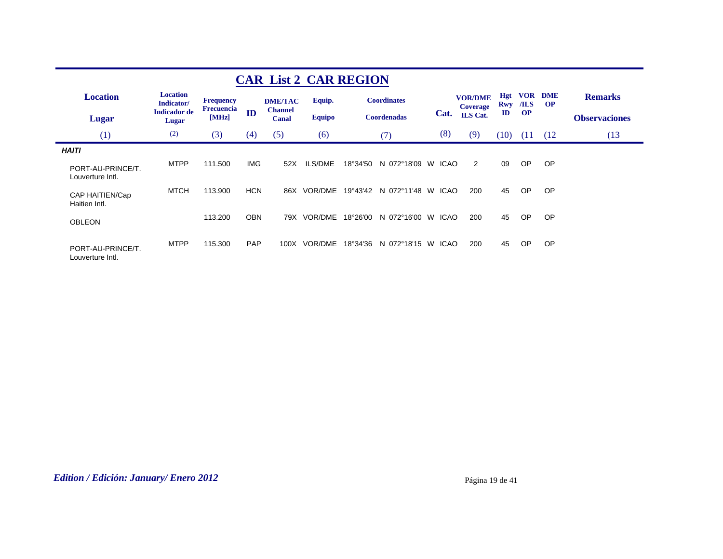|                                       |                               |                                       |            |                                  | <b>CAR List 2 CAR REGION</b> |          |                    |    |             |                                   |            |                    |                        |                      |
|---------------------------------------|-------------------------------|---------------------------------------|------------|----------------------------------|------------------------------|----------|--------------------|----|-------------|-----------------------------------|------------|--------------------|------------------------|----------------------|
| <b>Location</b>                       | <b>Location</b><br>Indicator/ | <b>Frequency</b><br><b>Frecuencia</b> |            | <b>DME/TAC</b><br><b>Channel</b> | Equip.                       |          | <b>Coordinates</b> |    |             | <b>VOR/DME</b><br><b>Coverage</b> | Hgt<br>Rwy | <b>VOR</b><br>/ILS | <b>DME</b><br>$\Omega$ | <b>Remarks</b>       |
| Lugar                                 | <b>Indicador</b> de<br>Lugar  | [MHz]                                 | ID         | Canal                            | <b>Equipo</b>                |          | <b>Coordenadas</b> |    | Cat.        | ILS Cat.                          | ID         | <b>OP</b>          |                        | <b>Observaciones</b> |
| (1)                                   | (2)                           | (3)                                   | (4)        | (5)                              | (6)                          |          | 7                  |    | (8)         | (9)                               | (10)       | (11)               | (12)                   | (13)                 |
| <b>HAITI</b>                          |                               |                                       |            |                                  |                              |          |                    |    |             |                                   |            |                    |                        |                      |
| PORT-AU-PRINCE/T.<br>Louverture Intl. | <b>MTPP</b>                   | 111.500                               | <b>IMG</b> | 52X                              | ILS/DME                      | 18°34'50 | N 072°18'09        | W  | <b>ICAO</b> | 2                                 | 09         | OP                 | <b>OP</b>              |                      |
| CAP HAITIEN/Cap<br>Haitien Intl.      | MTCH                          | 113.900                               | <b>HCN</b> | 86X                              | VOR/DME                      | 19°43'42 | N 072°11'48        | W. | ICAO        | 200                               | 45         | OP                 | <b>OP</b>              |                      |
| <b>OBLEON</b>                         |                               | 113.200                               | <b>OBN</b> | 79X                              | VOR/DME                      | 18°26'00 | N 072°16'00 W      |    | ICAO        | 200                               | 45         | OP                 | <b>OP</b>              |                      |
| PORT-AU-PRINCE/T.<br>Louverture Intl. | <b>MTPP</b>                   | 115.300                               | <b>PAP</b> | 100X                             | VOR/DME                      | 18°34'36 | N 072°18'15        | W  | <b>ICAO</b> | 200                               | 45         | <b>OP</b>          | <b>OP</b>              |                      |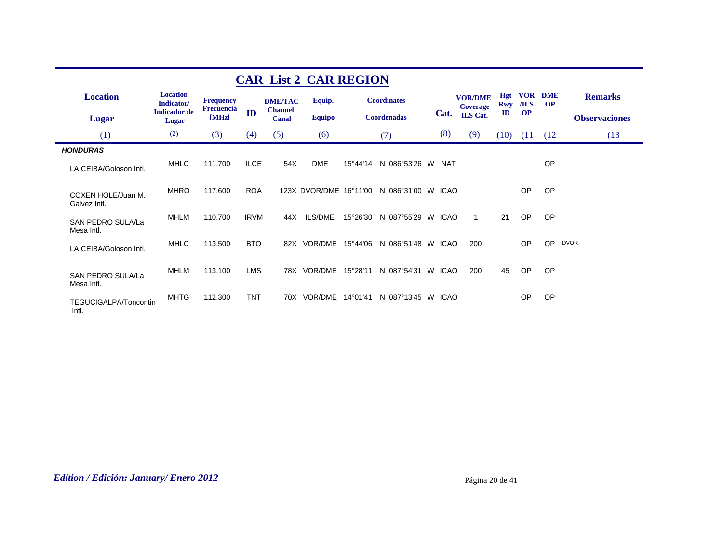|                                       |                               |                                |             |                                  | <b>CAR List 2 CAR REGION</b> |          |                    |            |                                   |                   |                    |                         |                      |
|---------------------------------------|-------------------------------|--------------------------------|-------------|----------------------------------|------------------------------|----------|--------------------|------------|-----------------------------------|-------------------|--------------------|-------------------------|----------------------|
| <b>Location</b>                       | <b>Location</b><br>Indicator/ | <b>Frequency</b><br>Frecuencia |             | <b>DME/TAC</b><br><b>Channel</b> | Equip.                       |          | <b>Coordinates</b> |            | <b>VOR/DME</b><br><b>Coverage</b> | <b>Hgt</b><br>Rwy | <b>VOR</b><br>/ILS | <b>DME</b><br><b>OP</b> | <b>Remarks</b>       |
| <b>Lugar</b>                          | <b>Indicador</b> de<br>Lugar  | [MHz]                          | ID          | Canal                            | <b>Equipo</b>                |          | <b>Coordenadas</b> | Cat.       | <b>ILS</b> Cat.                   | $\mathbf{ID}$     | <b>OP</b>          |                         | <b>Observaciones</b> |
| (1)                                   | (2)                           | (3)                            | (4)         | (5)                              | (6)                          |          | (7)                | (8)        | (9)                               | (10)              | (11)               | (12)                    | (13)                 |
| <b>HONDURAS</b>                       |                               |                                |             |                                  |                              |          |                    |            |                                   |                   |                    |                         |                      |
| LA CEIBA/Goloson Intl.                | <b>MHLC</b>                   | 111.700                        | <b>ILCE</b> | 54X                              | <b>DME</b>                   | 15°44'14 | N 086°53'26 W      | <b>NAT</b> |                                   |                   |                    | OP                      |                      |
| COXEN HOLE/Juan M.<br>Galvez Intl.    | <b>MHRO</b>                   | 117.600                        | <b>ROA</b>  |                                  | 123X DVOR/DME 16°11'00       |          | N 086°31'00 W ICAO |            |                                   |                   | OP                 | <b>OP</b>               |                      |
| SAN PEDRO SULA/La<br>Mesa Intl.       | <b>MHLM</b>                   | 110.700                        | <b>IRVM</b> | 44X                              | ILS/DME                      | 15°26'30 | N 087°55'29 W ICAO |            | $\mathbf{1}$                      | 21                | OP                 | OP                      |                      |
| LA CEIBA/Goloson Intl.                | <b>MHLC</b>                   | 113.500                        | <b>BTO</b>  |                                  | 82X VOR/DME 15°44'06         |          | N 086°51'48 W ICAO |            | 200                               |                   | OP                 | OP                      | <b>DVOR</b>          |
| SAN PEDRO SULA/La<br>Mesa Intl.       | <b>MHLM</b>                   | 113.100                        | <b>LMS</b>  |                                  | 78X VOR/DME                  | 15°28'11 | N 087°54'31 W ICAO |            | 200                               | 45                | OP                 | <b>OP</b>               |                      |
| <b>TEGUCIGALPA/Toncontin</b><br>Intl. | <b>MHTG</b>                   | 112.300                        | <b>TNT</b>  |                                  | 70X VOR/DME 14°01'41         |          | N 087°13'45 W ICAO |            |                                   |                   | <b>OP</b>          | <b>OP</b>               |                      |

## *Edition / Edición: January/ Enero 2012* Página 20 de 41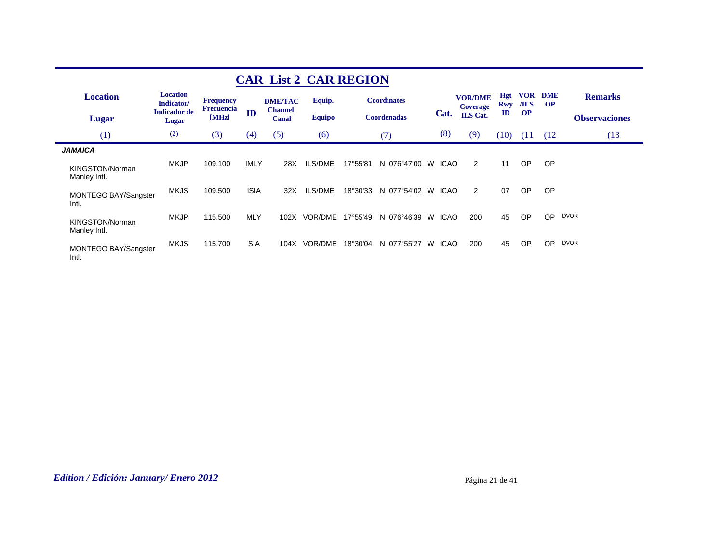|                                 |                               |                                       |             |                                  | <b>CAR List 2 CAR REGION</b> |          |                    |   |             |                                   |              |                    |                        |                      |
|---------------------------------|-------------------------------|---------------------------------------|-------------|----------------------------------|------------------------------|----------|--------------------|---|-------------|-----------------------------------|--------------|--------------------|------------------------|----------------------|
| <b>Location</b>                 | <b>Location</b><br>Indicator/ | <b>Frequency</b><br><b>Frecuencia</b> |             | <b>DME/TAC</b><br><b>Channel</b> | Equip.                       |          | <b>Coordinates</b> |   |             | <b>VOR/DME</b><br><b>Coverage</b> | Hgt<br>Rwy   | <b>VOR</b><br>/ILS | <b>DME</b><br>$\Omega$ | <b>Remarks</b>       |
| Lugar                           | <b>Indicador</b> de<br>Lugar  | [MHz]                                 | ID          | Canal                            | <b>Equipo</b>                |          | <b>Coordenadas</b> |   | Cat.        | <b>ILS</b> Cat.                   | $\mathbf{I}$ | <b>OP</b>          |                        | <b>Observaciones</b> |
| (1)                             | (2)                           | (3)                                   | (4)         | (5)                              | (6)                          |          | (7)                |   | (8)         | (9)                               | (10)         | (11)               | (12)                   | (13)                 |
| <b>JAMAICA</b>                  |                               |                                       |             |                                  |                              |          |                    |   |             |                                   |              |                    |                        |                      |
| KINGSTON/Norman<br>Manley Intl. | <b>MKJP</b>                   | 109.100                               | <b>IMLY</b> | 28X                              | ILS/DME                      | 17°55'81 | N 076°47'00        | W | <b>ICAO</b> | 2                                 | 11           | <b>OP</b>          | <b>OP</b>              |                      |
| MONTEGO BAY/Sangster<br>Intl.   | <b>MKJS</b>                   | 109.500                               | <b>ISIA</b> | 32X                              | ILS/DME                      | 18°30'33 | N 077°54'02        | W | <b>ICAO</b> | 2                                 | 07           | <b>OP</b>          | <b>OP</b>              |                      |
| KINGSTON/Norman<br>Manley Intl. | <b>MKJP</b>                   | 115,500                               | <b>MLY</b>  | 102X                             | VOR/DME                      | 17°55'49 | N 076°46'39        | W | <b>ICAO</b> | 200                               | 45           | OP                 | OP.                    | <b>DVOR</b>          |
| MONTEGO BAY/Sangster<br>Intl.   | <b>MKJS</b>                   | 115.700                               | <b>SIA</b>  | 104X                             | <b>VOR/DME</b>               | 18°30'04 | N 077°55'27        | W | <b>ICAO</b> | 200                               | 45           | <b>OP</b>          | OP                     | <b>DVOR</b>          |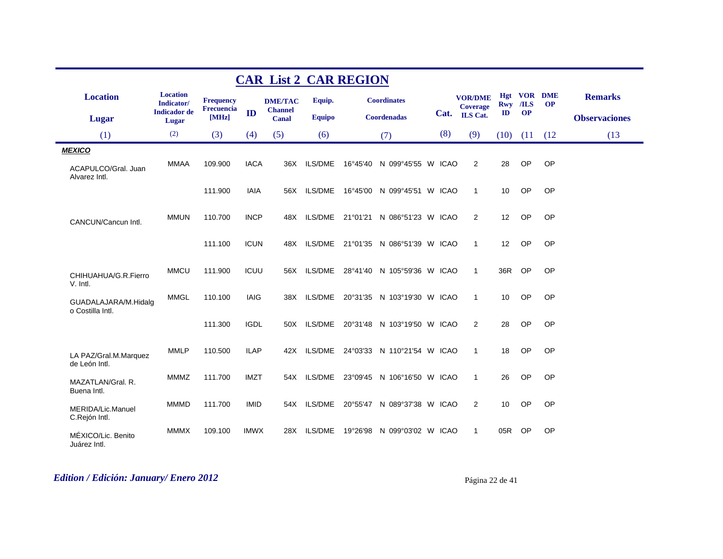|                                          |                               |                                |             | <b>CAR List 2 CAR REGION</b>     |                |          |                                     |     |                                   |               |           |                          |                      |
|------------------------------------------|-------------------------------|--------------------------------|-------------|----------------------------------|----------------|----------|-------------------------------------|-----|-----------------------------------|---------------|-----------|--------------------------|----------------------|
| <b>Location</b>                          | <b>Location</b><br>Indicator/ | <b>Frequency</b><br>Frecuencia |             | <b>DME/TAC</b><br><b>Channel</b> | Equip.         |          | <b>Coordinates</b>                  |     | <b>VOR/DME</b><br><b>Coverage</b> | <b>Rwy</b>    | /ILS      | Hgt VOR DME<br><b>OP</b> | <b>Remarks</b>       |
| Lugar                                    | <b>Indicador</b> de<br>Lugar  | [MHz]                          | ID          | Canal                            | <b>Equipo</b>  |          | <b>Coordenadas</b>                  |     | Cat. ILS Cat.                     | $\mathbf{ID}$ | <b>OP</b> |                          | <b>Observaciones</b> |
| (1)                                      | (2)                           | (3)                            | (4)         | (5)                              | (6)            |          | (7)                                 | (8) | (9)                               | (10)          | (11)      | (12)                     | (13)                 |
| <b>MEXICO</b>                            |                               |                                |             |                                  |                |          |                                     |     |                                   |               |           |                          |                      |
| ACAPULCO/Gral. Juan<br>Alvarez Intl.     | <b>MMAA</b>                   | 109.900                        | <b>IACA</b> | 36X                              | <b>ILS/DME</b> |          | 16°45'40 N 099°45'55 W ICAO         |     | $\overline{2}$                    | 28            | OP        | OP                       |                      |
|                                          |                               | 111.900                        | <b>IAIA</b> | 56X                              | <b>ILS/DME</b> | 16°45'00 | N 099°45'51 W ICAO                  |     | $\mathbf{1}$                      | 10            | OP        | OP                       |                      |
| CANCUN/Cancun Intl.                      | <b>MMUN</b>                   | 110.700                        | <b>INCP</b> | 48X                              | ILS/DME        | 21°01'21 | N 086°51'23 W ICAO                  |     | 2                                 | 12            | OP        | OP                       |                      |
|                                          |                               | 111.100                        | <b>ICUN</b> | 48X                              |                |          | ILS/DME 21°01'35 N 086°51'39 W ICAO |     | $\mathbf{1}$                      | 12            | OP        | OP                       |                      |
| CHIHUAHUA/G.R.Fierro<br>V. Intl.         | <b>MMCU</b>                   | 111.900                        | <b>ICUU</b> | 56X                              | ILS/DME        | 28°41'40 | N 105°59'36 W ICAO                  |     | $\mathbf{1}$                      | 36R           | OP        | OP                       |                      |
| GUADALAJARA/M.Hidalg<br>o Costilla Intl. | <b>MMGL</b>                   | 110.100                        | <b>IAIG</b> | 38X                              | ILS/DME        |          | 20°31'35 N 103°19'30 W ICAO         |     | $\mathbf{1}$                      | 10            | <b>OP</b> | OP                       |                      |
|                                          |                               | 111.300                        | <b>IGDL</b> | 50X                              | <b>ILS/DME</b> |          | 20°31'48 N 103°19'50 W ICAO         |     | 2                                 | 28            | OP        | OP                       |                      |
| LA PAZ/Gral.M.Marquez<br>de León Intl.   | <b>MMLP</b>                   | 110.500                        | <b>ILAP</b> | 42X                              |                |          | ILS/DME 24°03'33 N 110°21'54 W ICAO |     | $\mathbf{1}$                      | 18            | OP        | OP                       |                      |
| MAZATLAN/Gral, R.<br>Buena Intl.         | <b>MMMZ</b>                   | 111.700                        | <b>IMZT</b> | 54X                              | <b>ILS/DME</b> | 23°09'45 | N 106°16'50 W ICAO                  |     | $\mathbf{1}$                      | 26            | OP        | OP                       |                      |
| MERIDA/Lic.Manuel<br>C.Rejón Intl.       | <b>MMMD</b>                   | 111.700                        | <b>IMID</b> | 54X                              | ILS/DME        |          | 20°55'47 N 089°37'38 W ICAO         |     | $\overline{2}$                    | 10            | OP        | OP                       |                      |
| MÉXICO/Lic. Benito<br>Juárez Intl.       | <b>MMMX</b>                   | 109.100                        | <b>IMWX</b> | 28X                              | ILS/DME        | 19°26'98 | N 099°03'02 W ICAO                  |     | -1                                | 05R           | <b>OP</b> | OP                       |                      |

## *Edition / Edición: January/ Enero 2012* Página 22 de 41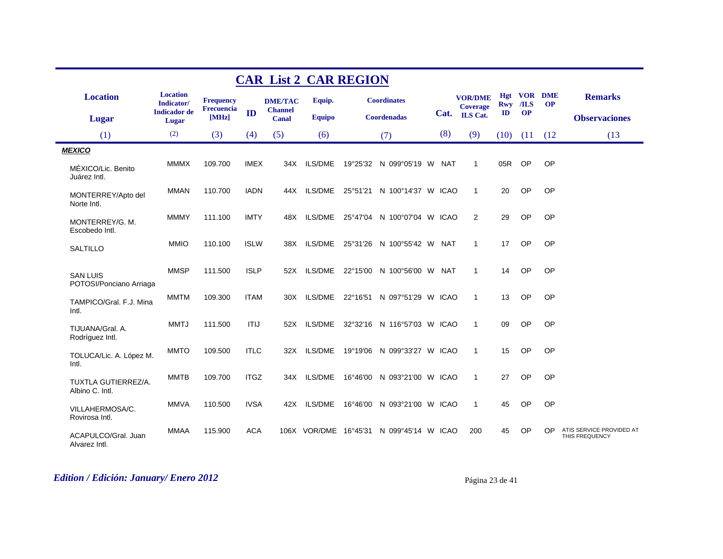|                                            |                               |                                |             | <b>CAR List 2 CAR REGION</b>     |                |                                          |     |                                   |               |                             |           |                                            |
|--------------------------------------------|-------------------------------|--------------------------------|-------------|----------------------------------|----------------|------------------------------------------|-----|-----------------------------------|---------------|-----------------------------|-----------|--------------------------------------------|
| <b>Location</b>                            | <b>Location</b><br>Indicator/ | <b>Frequency</b><br>Frecuencia |             | <b>DME/TAC</b><br><b>Channel</b> | Equip.         | <b>Coordinates</b>                       |     | <b>VOR/DME</b><br><b>Coverage</b> | <b>Rwy</b>    | <b>Hgt VOR DME</b><br>$ILS$ | <b>OP</b> | <b>Remarks</b>                             |
| <b>Lugar</b>                               | <b>Indicador</b> de<br>Lugar  | [MHz]                          | ID          | Canal                            | <b>Equipo</b>  | <b>Coordenadas</b>                       |     | Cat. ILS Cat.                     | $\mathbf{ID}$ | <b>OP</b>                   |           | <b>Observaciones</b>                       |
| (1)                                        | (2)                           | (3)                            | (4)         | (5)                              | (6)            | (7)                                      | (8) | (9)                               | (10)          | (11)                        | (12)      | (13)                                       |
| <b>MEXICO</b>                              |                               |                                |             |                                  |                |                                          |     |                                   |               |                             |           |                                            |
| MÉXICO/Lic. Benito<br>Juárez Intl.         | <b>MMMX</b>                   | 109.700                        | <b>IMEX</b> | 34X                              | ILS/DME        | 19°25'32 N 099°05'19 W NAT               |     | $\mathbf{1}$                      | 05R           | <b>OP</b>                   | <b>OP</b> |                                            |
| MONTERREY/Apto del<br>Norte Intl.          | MMAN                          | 110.700                        | <b>IADN</b> | 44X                              |                | ILS/DME 25°51'21 N 100°14'37 W ICAO      |     | $\overline{1}$                    | 20            | OP                          | <b>OP</b> |                                            |
| MONTERREY/G. M.<br>Escobedo Intl.          | <b>MMMY</b>                   | 111.100                        | <b>IMTY</b> | 48X                              |                | ILS/DME 25°47'04 N 100°07'04 W ICAO      |     | 2                                 | 29            | OP                          | <b>OP</b> |                                            |
| <b>SALTILLO</b>                            | <b>MMIO</b>                   | 110.100                        | <b>ISLW</b> | 38X                              |                | ILS/DME 25°31'26 N 100°55'42 W NAT       |     | $\overline{1}$                    | 17            | OP                          | OP        |                                            |
| <b>SAN LUIS</b><br>POTOSI/Ponciano Arriaga | <b>MMSP</b>                   | 111.500                        | <b>ISLP</b> | 52X                              | ILS/DME        | 22°15'00 N 100°56'00 W NAT               |     | $\overline{1}$                    | 14            | OP                          | <b>OP</b> |                                            |
| TAMPICO/Gral. F.J. Mina<br>Intl.           | <b>MMTM</b>                   | 109.300                        | <b>ITAM</b> | 30X                              |                | ILS/DME 22°16'51 N 097°51'29 W ICAO      |     | $\overline{1}$                    | 13            | OP                          | <b>OP</b> |                                            |
| TIJUANA/Gral, A.<br>Rodríguez Intl.        | <b>MMTJ</b>                   | 111.500                        | <b>ITIJ</b> | 52X                              | <b>ILS/DME</b> | 32°32'16 N 116°57'03 W ICAO              |     | $\overline{1}$                    | 09            | OP                          | <b>OP</b> |                                            |
| TOLUCA/Lic. A. López M.<br>Intl.           | <b>MMTO</b>                   | 109.500                        | <b>ITLC</b> | 32X                              | <b>ILS/DME</b> | 19°19'06 N 099°33'27 W ICAO              |     | $\overline{1}$                    | 15            | OP                          | <b>OP</b> |                                            |
| TUXTLA GUTIERREZ/A.<br>Albino C. Intl.     | <b>MMTB</b>                   | 109.700                        | <b>ITGZ</b> |                                  | 34X ILS/DME    | 16°46'00 N 093°21'00 W ICAO              |     | $\mathbf{1}$                      | 27            | OP                          | OP        |                                            |
| VILLAHERMOSA/C.<br>Rovirosa Intl.          | <b>MMVA</b>                   | 110.500                        | <b>IVSA</b> | 42X                              | ILS/DME        | 16°46'00 N 093°21'00 W ICAO              |     | $\overline{1}$                    | 45            | OP                          | <b>OP</b> |                                            |
| ACAPULCO/Gral. Juan<br>Alvarez Intl.       | <b>MMAA</b>                   | 115.900                        | <b>ACA</b>  |                                  |                | 106X VOR/DME 16°45'31 N 099°45'14 W ICAO |     | 200                               | 45            | <b>OP</b>                   | <b>OP</b> | ATIS SERVICE PROVIDED AT<br>THIS FREQUENCY |

## *Edition / Edición: January/ Enero 2012* Página 23 de 41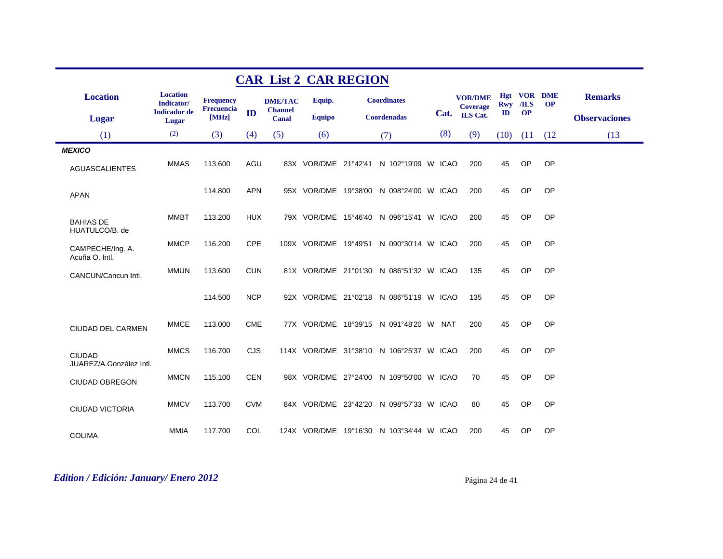|                                          |                               |                     |            | <b>CAR List 2 CAR REGION</b> |               |                                          |     |                                   |            |           |                             |                      |
|------------------------------------------|-------------------------------|---------------------|------------|------------------------------|---------------|------------------------------------------|-----|-----------------------------------|------------|-----------|-----------------------------|----------------------|
| <b>Location</b>                          | <b>Location</b><br>Indicator/ | <b>Frequency</b>    |            | <b>DME/TAC</b>               | Equip.        | <b>Coordinates</b>                       |     | <b>VOR/DME</b><br><b>Coverage</b> | <b>Hgt</b> | Rwy /ILS  | <b>VOR DME</b><br><b>OP</b> | <b>Remarks</b>       |
| <b>Lugar</b>                             | <b>Indicador</b> de<br>Lugar  | Frecuencia<br>[MHz] | ID         | <b>Channel</b><br>Canal      | <b>Equipo</b> | <b>Coordenadas</b>                       |     | Cat. ILS Cat.                     | ID         | <b>OP</b> |                             | <b>Observaciones</b> |
| (1)                                      | (2)                           | (3)                 | (4)        | (5)                          | (6)           | (7)                                      | (8) | (9)                               | (10)       | (11)      | (12)                        | (13)                 |
| <b>MEXICO</b>                            |                               |                     |            |                              |               |                                          |     |                                   |            |           |                             |                      |
| <b>AGUASCALIENTES</b>                    | <b>MMAS</b>                   | 113.600             | AGU        |                              |               | 83X VOR/DME 21°42'41 N 102°19'09 W ICAO  |     | 200                               | 45         | OP        | OP                          |                      |
| <b>APAN</b>                              |                               | 114.800             | <b>APN</b> |                              |               | 95X VOR/DME 19°38'00 N 098°24'00 W ICAO  |     | 200                               | 45         | <b>OP</b> | OP                          |                      |
| <b>BAHIAS DE</b><br>HUATULCO/B. de       | <b>MMBT</b>                   | 113.200             | <b>HUX</b> |                              |               | 79X VOR/DME 15°46'40 N 096°15'41 W ICAO  |     | 200                               | 45         | OP        | OP                          |                      |
| CAMPECHE/Ing. A.<br>Acuña O. Intl.       | <b>MMCP</b>                   | 116.200             | <b>CPE</b> |                              |               | 109X VOR/DME 19°49'51 N 090°30'14 W ICAO |     | 200                               | 45         | OP        | OP                          |                      |
| CANCUN/Cancun Intl.                      | <b>MMUN</b>                   | 113.600             | <b>CUN</b> |                              |               | 81X VOR/DME 21°01'30 N 086°51'32 W ICAO  |     | 135                               | 45         | OP        | OP                          |                      |
|                                          |                               | 114.500             | <b>NCP</b> |                              |               | 92X VOR/DME 21°02'18 N 086°51'19 W ICAO  |     | 135                               | 45         | OP        | OP                          |                      |
| CIUDAD DEL CARMEN                        | <b>MMCE</b>                   | 113.000             | <b>CME</b> |                              |               | 77X VOR/DME 18°39'15 N 091°48'20 W NAT   |     | 200                               | 45         | OP        | OP                          |                      |
| <b>CIUDAD</b><br>JUAREZ/A.González Intl. | <b>MMCS</b>                   | 116.700             | <b>CJS</b> |                              |               | 114X VOR/DME 31°38'10 N 106°25'37 W ICAO |     | 200                               | 45         | OP        | OP                          |                      |
| <b>CIUDAD OBREGON</b>                    | <b>MMCN</b>                   | 115.100             | <b>CEN</b> |                              |               | 98X VOR/DME 27°24'00 N 109°50'00 W ICAO  |     | 70                                | 45         | OP        | OP                          |                      |
| <b>CIUDAD VICTORIA</b>                   | <b>MMCV</b>                   | 113.700             | <b>CVM</b> |                              |               | 84X VOR/DME 23°42'20 N 098°57'33 W ICAO  |     | 80                                | 45         | <b>OP</b> | OP                          |                      |
| <b>COLIMA</b>                            | <b>MMIA</b>                   | 117.700             | <b>COL</b> |                              |               | 124X VOR/DME 19°16'30 N 103°34'44 W ICAO |     | 200                               | 45         | OP        | OP                          |                      |

# *Edition / Edición: January/ Enero 2012* Página 24 de 41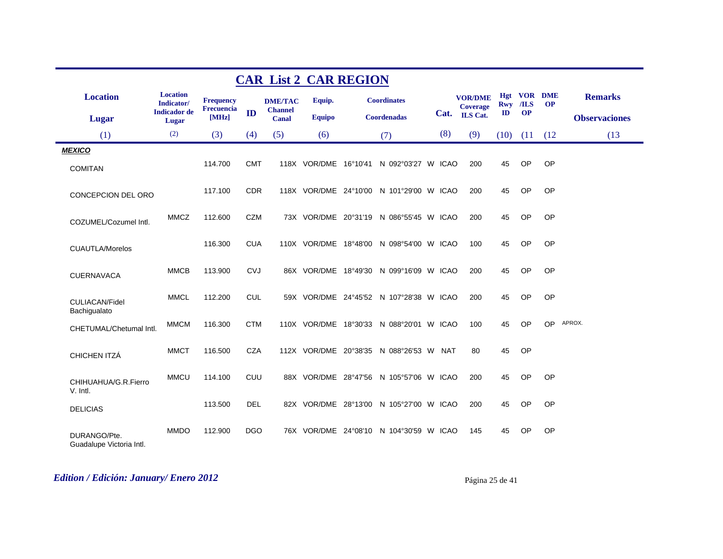|                                          |                               |                     |            | <b>CAR List 2 CAR REGION</b>   |               |                                          |     |                                   |               |                    |           |                      |
|------------------------------------------|-------------------------------|---------------------|------------|--------------------------------|---------------|------------------------------------------|-----|-----------------------------------|---------------|--------------------|-----------|----------------------|
| <b>Location</b>                          | <b>Location</b><br>Indicator/ | <b>Frequency</b>    |            | <b>DME/TAC</b>                 | Equip.        | <b>Coordinates</b>                       |     | <b>VOR/DME</b><br><b>Coverage</b> | Rwy /ILS      | <b>Hgt VOR DME</b> | <b>OP</b> | <b>Remarks</b>       |
| <b>Lugar</b>                             | <b>Indicador</b> de<br>Lugar  | Frecuencia<br>[MHz] | ID         | <b>Channel</b><br><b>Canal</b> | <b>Equipo</b> | Coordenadas                              |     | Cat. ILS Cat.                     | $\mathbf{ID}$ | <b>OP</b>          |           | <b>Observaciones</b> |
| (1)                                      | (2)                           | (3)                 | (4)        | (5)                            | (6)           | (7)                                      | (8) | (9)                               | $(10)$ $(11)$ |                    | (12)      | (13)                 |
| <b>MEXICO</b><br><b>COMITAN</b>          |                               | 114.700             | <b>CMT</b> |                                |               | 118X VOR/DME 16°10'41 N 092°03'27 W ICAO |     | 200                               | 45            | OP                 | OP        |                      |
| CONCEPCION DEL ORO                       |                               | 117.100             | <b>CDR</b> |                                |               | 118X VOR/DME 24°10'00 N 101°29'00 W ICAO |     | 200                               | 45            | OP                 | OP        |                      |
| COZUMEL/Cozumel Intl.                    | <b>MMCZ</b>                   | 112.600             | <b>CZM</b> |                                |               | 73X VOR/DME 20°31'19 N 086°55'45 W ICAO  |     | 200                               | 45            | OP                 | OP        |                      |
| <b>CUAUTLA/Morelos</b>                   |                               | 116.300             | <b>CUA</b> |                                |               | 110X VOR/DME 18°48'00 N 098°54'00 W ICAO |     | 100                               | 45            | <b>OP</b>          | OP        |                      |
| <b>CUERNAVACA</b>                        | <b>MMCB</b>                   | 113.900             | <b>CVJ</b> |                                |               | 86X VOR/DME 18°49'30 N 099°16'09 W ICAO  |     | 200                               | 45            | <b>OP</b>          | OP        |                      |
| CULIACAN/Fidel<br>Bachigualato           | <b>MMCL</b>                   | 112.200             | <b>CUL</b> |                                |               | 59X VOR/DME 24°45'52 N 107°28'38 W ICAO  |     | 200                               | 45            | <b>OP</b>          | OP        |                      |
| CHETUMAL/Chetumal Intl.                  | <b>MMCM</b>                   | 116.300             | <b>CTM</b> |                                |               | 110X VOR/DME 18°30'33 N 088°20'01 W ICAO |     | 100                               | 45            | <b>OP</b>          | OP        | APROX.               |
| CHICHEN ITZÁ                             | <b>MMCT</b>                   | 116.500             | <b>CZA</b> |                                |               | 112X VOR/DME 20°38'35 N 088°26'53 W NAT  |     | 80                                | 45            | OP                 |           |                      |
| CHIHUAHUA/G.R.Fierro<br>V. Intl.         | <b>MMCU</b>                   | 114.100             | <b>CUU</b> |                                |               | 88X VOR/DME 28°47'56 N 105°57'06 W ICAO  |     | 200                               | 45            | OP                 | OP        |                      |
| <b>DELICIAS</b>                          |                               | 113.500             | <b>DEL</b> |                                |               | 82X VOR/DME 28°13'00 N 105°27'00 W ICAO  |     | 200                               | 45            | OP                 | OP        |                      |
| DURANGO/Pte.<br>Guadalupe Victoria Intl. | <b>MMDO</b>                   | 112.900             | <b>DGO</b> |                                |               | 76X VOR/DME 24°08'10 N 104°30'59 W ICAO  |     | 145                               | 45            | <b>OP</b>          | OP        |                      |

# *Edition / Edición: January/ Enero 2012* Página 25 de 41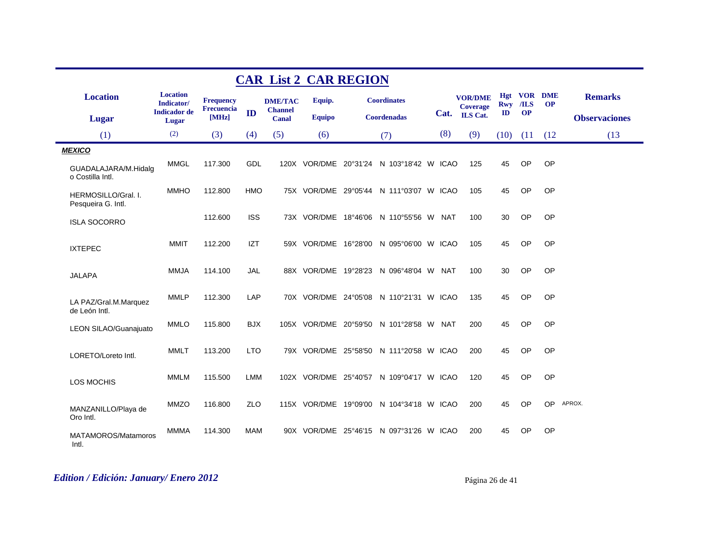|                                           |                                                      |                                |            |                                  | <b>CAR List 2 CAR REGION</b> |                                          |     |                                   |            |                             |           |                      |
|-------------------------------------------|------------------------------------------------------|--------------------------------|------------|----------------------------------|------------------------------|------------------------------------------|-----|-----------------------------------|------------|-----------------------------|-----------|----------------------|
| <b>Location</b>                           | <b>Location</b><br>Indicator/<br><b>Indicador</b> de | <b>Frequency</b><br>Frecuencia |            | <b>DME/TAC</b><br><b>Channel</b> | Equip.                       | <b>Coordinates</b>                       |     | <b>VOR/DME</b><br><b>Coverage</b> | <b>Rwy</b> | <b>Hgt VOR DME</b><br>$ILS$ | <b>OP</b> | <b>Remarks</b>       |
| <b>Lugar</b>                              | Lugar                                                | [MHz]                          | ID         | <b>Canal</b>                     | <b>Equipo</b>                | Coordenadas                              |     | Cat. ILS Cat.                     | ID         | <b>OP</b>                   |           | <b>Observaciones</b> |
| (1)                                       | (2)                                                  | (3)                            | (4)        | (5)                              | (6)                          | (7)                                      | (8) | (9)                               | (10)       | (11)                        | (12)      | (13)                 |
| <b>MEXICO</b>                             |                                                      |                                |            |                                  |                              |                                          |     |                                   |            |                             |           |                      |
| GUADALAJARA/M.Hidalg<br>o Costilla Intl.  | <b>MMGL</b>                                          | 117.300                        | GDL        |                                  |                              | 120X VOR/DME 20°31'24 N 103°18'42 W ICAO |     | 125                               | 45         | <b>OP</b>                   | OP        |                      |
| HERMOSILLO/Gral. I.<br>Pesqueira G. Intl. | <b>MMHO</b>                                          | 112.800                        | <b>HMO</b> |                                  |                              | 75X VOR/DME 29°05'44 N 111°03'07 W ICAO  |     | 105                               | 45         | <b>OP</b>                   | OP        |                      |
| <b>ISLA SOCORRO</b>                       |                                                      | 112.600                        | <b>ISS</b> |                                  |                              | 73X VOR/DME 18°46'06 N 110°55'56 W NAT   |     | 100                               | 30         | OP                          | OP        |                      |
| <b>IXTEPEC</b>                            | <b>MMIT</b>                                          | 112.200                        | <b>IZT</b> |                                  |                              | 59X VOR/DME 16°28'00 N 095°06'00 W ICAO  |     | 105                               | 45         | OP                          | OP        |                      |
| <b>JALAPA</b>                             | <b>MMJA</b>                                          | 114.100                        | <b>JAL</b> |                                  |                              | 88X VOR/DME 19°28'23 N 096°48'04 W NAT   |     | 100                               | 30         | OP                          | OP        |                      |
| LA PAZ/Gral.M.Marquez<br>de León Intl.    | <b>MMLP</b>                                          | 112.300                        | LAP        |                                  |                              | 70X VOR/DME 24°05'08 N 110°21'31 W ICAO  |     | 135                               | 45         | OP                          | OP        |                      |
| LEON SILAO/Guanajuato                     | <b>MMLO</b>                                          | 115.800                        | <b>BJX</b> |                                  |                              | 105X VOR/DME 20°59'50 N 101°28'58 W NAT  |     | 200                               | 45         | OP                          | OP        |                      |
| LORETO/Loreto Intl.                       | <b>MMLT</b>                                          | 113.200                        | <b>LTO</b> |                                  |                              | 79X VOR/DME 25°58'50 N 111°20'58 W ICAO  |     | 200                               | 45         | <b>OP</b>                   | OP        |                      |
| LOS MOCHIS                                | <b>MMLM</b>                                          | 115.500                        | <b>LMM</b> |                                  |                              | 102X VOR/DME 25°40'57 N 109°04'17 W ICAO |     | 120                               | 45         | <b>OP</b>                   | OP        |                      |
| MANZANILLO/Playa de<br>Oro Intl.          | <b>MMZO</b>                                          | 116.800                        | ZLO        |                                  |                              | 115X VOR/DME 19°09'00 N 104°34'18 W ICAO |     | 200                               | 45         | <b>OP</b>                   | <b>OP</b> | APROX.               |
| MATAMOROS/Matamoros<br>Intl.              | <b>MMMA</b>                                          | 114.300                        | MAM        |                                  |                              | 90X VOR/DME 25°46'15 N 097°31'26 W ICAO  |     | 200                               | 45         | OP                          | OP        |                      |

# *Edition / Edición: January/ Enero 2012* Página 26 de 41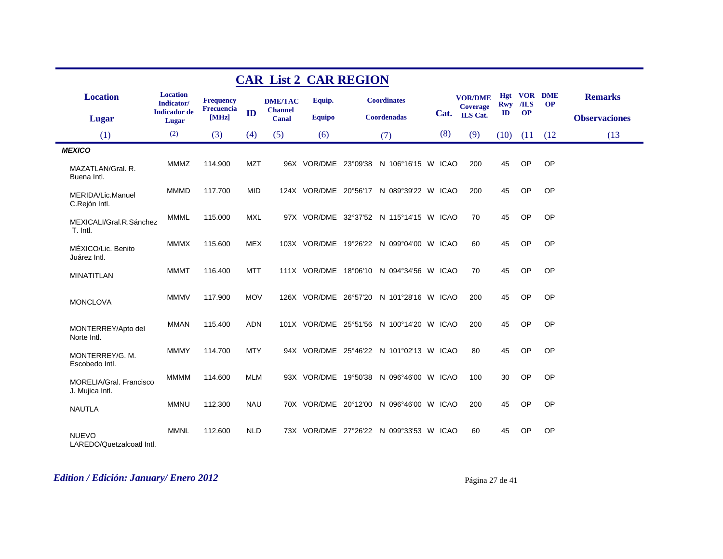|                                                   |                                                      |                                       |            |                                  | <b>CAR List 2 CAR REGION</b> |                                          |     |                                   |               |           |                                 |                      |
|---------------------------------------------------|------------------------------------------------------|---------------------------------------|------------|----------------------------------|------------------------------|------------------------------------------|-----|-----------------------------------|---------------|-----------|---------------------------------|----------------------|
| <b>Location</b>                                   | <b>Location</b><br>Indicator/<br><b>Indicador</b> de | <b>Frequency</b><br><b>Frecuencia</b> |            | <b>DME/TAC</b><br><b>Channel</b> | Equip.                       | <b>Coordinates</b>                       |     | <b>VOR/DME</b><br><b>Coverage</b> | <b>Rwy</b>    | $ILS$     | <b>Hgt VOR DME</b><br><b>OP</b> | <b>Remarks</b>       |
| Lugar                                             | Lugar                                                | [MHz]                                 | ID         | Canal                            | <b>Equipo</b>                | <b>Coordenadas</b>                       |     | Cat. ILS Cat.                     | $\mathbf{ID}$ | <b>OP</b> |                                 | <b>Observaciones</b> |
| (1)                                               | (2)                                                  | (3)                                   | (4)        | (5)                              | (6)                          | (7)                                      | (8) | (9)                               | (10)          | (11)      | (12)                            | (13)                 |
| <b>MEXICO</b>                                     |                                                      |                                       |            |                                  |                              |                                          |     |                                   |               |           |                                 |                      |
| MAZATLAN/Gral, R.<br>Buena Intl.                  | <b>MMMZ</b>                                          | 114.900                               | <b>MZT</b> |                                  |                              | 96X VOR/DME 23°09'38 N 106°16'15 W ICAO  |     | 200                               | 45            | OP        | OP                              |                      |
| MERIDA/Lic.Manuel<br>C.Rejón Intl.                | <b>MMMD</b>                                          | 117.700                               | <b>MID</b> |                                  |                              | 124X VOR/DME 20°56'17 N 089°39'22 W ICAO |     | 200                               | 45            | OP        | OP                              |                      |
| MEXICALI/Gral.R.Sánchez<br>T. Intl.               | <b>MMML</b>                                          | 115.000                               | <b>MXL</b> |                                  |                              | 97X VOR/DME 32°37'52 N 115°14'15 W ICAO  |     | 70                                | 45            | OP        | OP                              |                      |
| MÉXICO/Lic. Benito<br>Juárez Intl.                | <b>MMMX</b>                                          | 115.600                               | <b>MEX</b> |                                  |                              | 103X VOR/DME 19°26'22 N 099°04'00 W ICAO |     | 60                                | 45            | OP        | OP                              |                      |
| <b>MINATITLAN</b>                                 | <b>MMMT</b>                                          | 116.400                               | <b>MTT</b> |                                  |                              | 111X VOR/DME 18°06'10 N 094°34'56 W ICAO |     | 70                                | 45            | OP        | OP                              |                      |
| <b>MONCLOVA</b>                                   | <b>MMMV</b>                                          | 117.900                               | <b>MOV</b> |                                  |                              | 126X VOR/DME 26°57'20 N 101°28'16 W ICAO |     | 200                               | 45            | OP        | OP                              |                      |
| MONTERREY/Apto del<br>Norte Intl.                 | MMAN                                                 | 115.400                               | <b>ADN</b> |                                  |                              | 101X VOR/DME 25°51'56 N 100°14'20 W ICAO |     | 200                               | 45            | OP        | OP                              |                      |
| MONTERREY/G. M.<br>Escobedo Intl.                 | <b>MMMY</b>                                          | 114.700                               | <b>MTY</b> |                                  |                              | 94X VOR/DME 25°46'22 N 101°02'13 W ICAO  |     | 80                                | 45            | <b>OP</b> | OP                              |                      |
| <b>MORELIA/Gral, Francisco</b><br>J. Mujica Intl. | <b>MMMM</b>                                          | 114.600                               | <b>MLM</b> |                                  |                              | 93X VOR/DME 19°50'38 N 096°46'00 W ICAO  |     | 100                               | 30            | OP        | OP                              |                      |
| <b>NAUTLA</b>                                     | <b>MMNU</b>                                          | 112.300                               | <b>NAU</b> |                                  |                              | 70X VOR/DME 20°12'00 N 096°46'00 W ICAO  |     | 200                               | 45            | <b>OP</b> | OP                              |                      |
| <b>NUEVO</b><br>LAREDO/Quetzalcoatl Intl.         | <b>MMNL</b>                                          | 112,600                               | <b>NLD</b> |                                  |                              | 73X VOR/DME 27°26'22 N 099°33'53 W ICAO  |     | 60                                | 45            | <b>OP</b> | OP                              |                      |

# *Edition / Edición: January/ Enero 2012* Página 27 de 41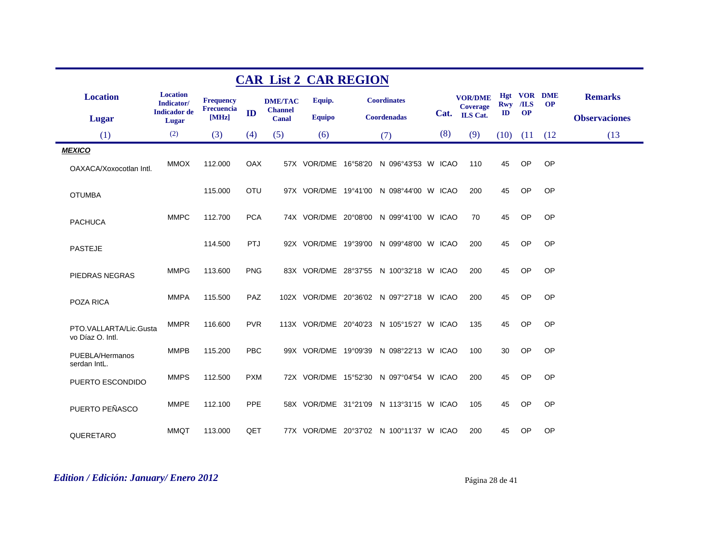|                                            |                               |                                |            | <b>CAR List 2 CAR REGION</b> |               |                                          |     |                                   |      |           |                                 |                      |
|--------------------------------------------|-------------------------------|--------------------------------|------------|------------------------------|---------------|------------------------------------------|-----|-----------------------------------|------|-----------|---------------------------------|----------------------|
| <b>Location</b>                            | <b>Location</b><br>Indicator/ | <b>Frequency</b><br>Frecuencia |            | <b>DME/TAC</b>               | Equip.        | <b>Coordinates</b>                       |     | <b>VOR/DME</b><br><b>Coverage</b> |      | Rwy /ILS  | <b>Hgt VOR DME</b><br><b>OP</b> | <b>Remarks</b>       |
| Lugar                                      | <b>Indicador</b> de<br>Lugar  | [MHz]                          | ID         | <b>Channel</b><br>Canal      | <b>Equipo</b> | Coordenadas                              |     | Cat. ILS Cat.                     | ID   | <b>OP</b> |                                 | <b>Observaciones</b> |
| (1)                                        | (2)                           | (3)                            | (4)        | (5)                          | (6)           | (7)                                      | (8) | (9)                               | (10) | (11)      | (12)                            | (13)                 |
| <b>MEXICO</b>                              |                               |                                |            |                              |               |                                          |     |                                   |      |           |                                 |                      |
| OAXACA/Xoxocotlan Intl.                    | <b>MMOX</b>                   | 112.000                        | OAX        |                              |               | 57X VOR/DME 16°58'20 N 096°43'53 W ICAO  |     | 110                               | 45   | <b>OP</b> | OP                              |                      |
| <b>OTUMBA</b>                              |                               | 115.000                        | <b>OTU</b> |                              |               | 97X VOR/DME 19°41'00 N 098°44'00 W ICAO  |     | 200                               | 45   | <b>OP</b> | OP                              |                      |
| <b>PACHUCA</b>                             | <b>MMPC</b>                   | 112.700                        | <b>PCA</b> |                              |               | 74X VOR/DME 20°08'00 N 099°41'00 W ICAO  |     | 70                                | 45   | <b>OP</b> | OP                              |                      |
| <b>PASTEJE</b>                             |                               | 114.500                        | <b>PTJ</b> |                              |               | 92X VOR/DME 19°39'00 N 099°48'00 W ICAO  |     | 200                               | 45   | OP        | OP                              |                      |
| PIEDRAS NEGRAS                             | <b>MMPG</b>                   | 113.600                        | <b>PNG</b> |                              |               | 83X VOR/DME 28°37'55 N 100°32'18 W ICAO  |     | 200                               | 45   | <b>OP</b> | OP                              |                      |
| POZA RICA                                  | <b>MMPA</b>                   | 115.500                        | <b>PAZ</b> |                              |               | 102X VOR/DME 20°36'02 N 097°27'18 W ICAO |     | 200                               | 45   | OP        | OP                              |                      |
| PTO.VALLARTA/Lic.Gusta<br>vo Díaz O. Intl. | <b>MMPR</b>                   | 116.600                        | <b>PVR</b> |                              |               | 113X VOR/DME 20°40'23 N 105°15'27 W ICAO |     | 135                               | 45   | OP        | OP                              |                      |
| PUEBLA/Hermanos<br>serdan IntL.            | <b>MMPB</b>                   | 115.200                        | <b>PBC</b> |                              |               | 99X VOR/DME 19°09'39 N 098°22'13 W ICAO  |     | 100                               | 30   | <b>OP</b> | OP                              |                      |
| PUERTO ESCONDIDO                           | <b>MMPS</b>                   | 112.500                        | <b>PXM</b> |                              |               | 72X VOR/DME 15°52'30 N 097°04'54 W ICAO  |     | 200                               | 45   | <b>OP</b> | OP                              |                      |
| PUERTO PEÑASCO                             | <b>MMPE</b>                   | 112.100                        | <b>PPE</b> |                              |               | 58X VOR/DME 31°21'09 N 113°31'15 W ICAO  |     | 105                               | 45   | <b>OP</b> | OP                              |                      |
| QUERETARO                                  | <b>MMQT</b>                   | 113.000                        | QET        |                              |               | 77X VOR/DME 20°37'02 N 100°11'37 W ICAO  |     | 200                               | 45   | OP        | OP                              |                      |

# *Edition / Edición: January/ Enero 2012* Página 28 de 41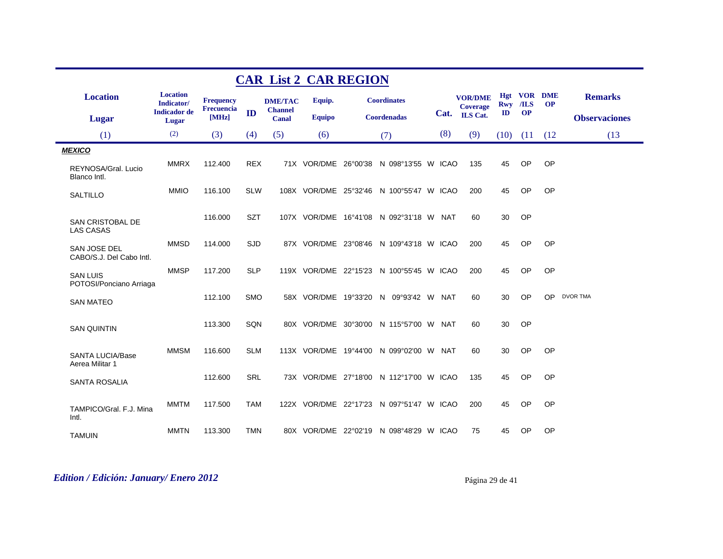|                                            |                               |                                       |            | <b>CAR List 2 CAR REGION</b>     |               |                                          |     |                                   |            |           |                          |                      |
|--------------------------------------------|-------------------------------|---------------------------------------|------------|----------------------------------|---------------|------------------------------------------|-----|-----------------------------------|------------|-----------|--------------------------|----------------------|
| <b>Location</b>                            | <b>Location</b><br>Indicator/ | <b>Frequency</b><br><b>Frecuencia</b> |            | <b>DME/TAC</b><br><b>Channel</b> | Equip.        | <b>Coordinates</b>                       |     | <b>VOR/DME</b><br><b>Coverage</b> | <b>Rwy</b> | /ILS      | Hgt VOR DME<br><b>OP</b> | <b>Remarks</b>       |
| Lugar                                      | <b>Indicador</b> de<br>Lugar  | [MHz]                                 | ID         | Canal                            | <b>Equipo</b> | <b>Coordenadas</b>                       |     | Cat. ILS Cat.                     | ID         | <b>OP</b> |                          | <b>Observaciones</b> |
| (1)                                        | (2)                           | (3)                                   | (4)        | (5)                              | (6)           | (7)                                      | (8) | (9)                               | (10)       | (11)      | (12)                     | (13)                 |
| <b>MEXICO</b>                              |                               |                                       |            |                                  |               |                                          |     |                                   |            |           |                          |                      |
| REYNOSA/Gral. Lucio<br>Blanco Intl.        | <b>MMRX</b>                   | 112.400                               | <b>REX</b> |                                  |               | 71X VOR/DME 26°00'38 N 098°13'55 W ICAO  |     | 135                               | 45         | <b>OP</b> | OP                       |                      |
| <b>SALTILLO</b>                            | <b>MMIO</b>                   | 116.100                               | <b>SLW</b> |                                  |               | 108X VOR/DME 25°32'46 N 100°55'47 W ICAO |     | 200                               | 45         | <b>OP</b> | OP                       |                      |
| SAN CRISTOBAL DE<br><b>LAS CASAS</b>       |                               | 116.000                               | <b>SZT</b> |                                  |               | 107X VOR/DME 16°41'08 N 092°31'18 W NAT  |     | 60                                | 30         | OP        |                          |                      |
| SAN JOSE DEL<br>CABO/S.J. Del Cabo Intl.   | <b>MMSD</b>                   | 114.000                               | <b>SJD</b> |                                  |               | 87X VOR/DME 23°08'46 N 109°43'18 W ICAO  |     | 200                               | 45         | <b>OP</b> | OP                       |                      |
| <b>SAN LUIS</b><br>POTOSI/Ponciano Arriaga | <b>MMSP</b>                   | 117.200                               | <b>SLP</b> |                                  |               | 119X VOR/DME 22°15'23 N 100°55'45 W ICAO |     | 200                               | 45         | <b>OP</b> | OP                       |                      |
| <b>SAN MATEO</b>                           |                               | 112.100                               | <b>SMO</b> |                                  |               | 58X VOR/DME 19°33'20 N 09°93'42 W NAT    |     | 60                                | 30         | OP        | OP                       | <b>DVOR TMA</b>      |
| <b>SAN QUINTIN</b>                         |                               | 113.300                               | SQN        |                                  |               | 80X VOR/DME 30°30'00 N 115°57'00 W NAT   |     | 60                                | 30         | <b>OP</b> |                          |                      |
| <b>SANTA LUCIA/Base</b><br>Aerea Militar 1 | <b>MMSM</b>                   | 116.600                               | <b>SLM</b> |                                  |               | 113X VOR/DME 19°44'00 N 099°02'00 W NAT  |     | 60                                | 30         | OP        | OP                       |                      |
| <b>SANTA ROSALIA</b>                       |                               | 112.600                               | <b>SRL</b> |                                  |               | 73X VOR/DME 27°18'00 N 112°17'00 W ICAO  |     | 135                               | 45         | <b>OP</b> | OP                       |                      |
| TAMPICO/Gral, F.J. Mina<br>Intl.           | <b>MMTM</b>                   | 117.500                               | <b>TAM</b> |                                  |               | 122X VOR/DME 22°17'23 N 097°51'47 W ICAO |     | 200                               | 45         | <b>OP</b> | OP                       |                      |
| <b>TAMUIN</b>                              | <b>MMTN</b>                   | 113.300                               | TMN        |                                  |               | 80X VOR/DME 22°02'19 N 098°48'29 W ICAO  |     | 75                                | 45         | <b>OP</b> | OP                       |                      |

# *Edition / Edición: January/ Enero 2012* Página 29 de 41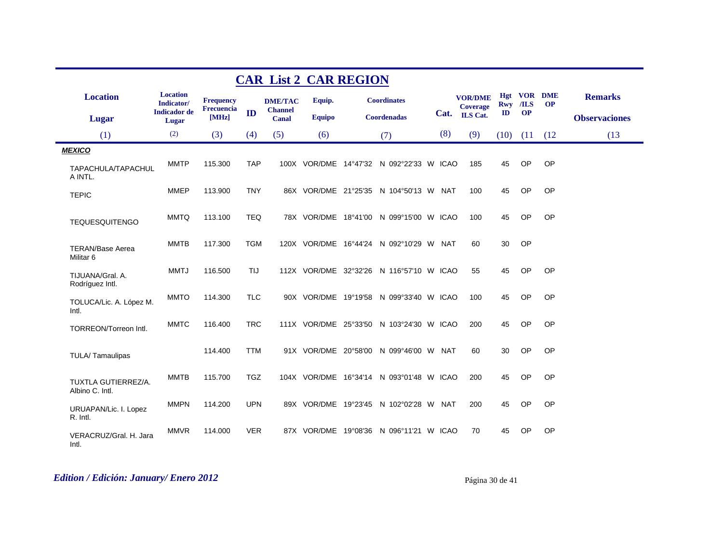|                                                 | <b>CAR List 2 CAR REGION</b>  |                     |            |                                |               |  |                                          |     |                                   |               |           |                                 |                      |  |
|-------------------------------------------------|-------------------------------|---------------------|------------|--------------------------------|---------------|--|------------------------------------------|-----|-----------------------------------|---------------|-----------|---------------------------------|----------------------|--|
| <b>Location</b>                                 | <b>Location</b><br>Indicator/ | <b>Frequency</b>    |            | <b>DME/TAC</b>                 | Equip.        |  | <b>Coordinates</b>                       |     | <b>VOR/DME</b><br><b>Coverage</b> |               | Rwy /ILS  | <b>Hgt VOR DME</b><br><b>OP</b> | <b>Remarks</b>       |  |
| Lugar                                           | <b>Indicador</b> de<br>Lugar  | Frecuencia<br>[MHz] | ID         | <b>Channel</b><br><b>Canal</b> | <b>Equipo</b> |  | Coordenadas                              |     | Cat. ILS Cat.                     | $\mathbf{ID}$ | <b>OP</b> |                                 | <b>Observaciones</b> |  |
| (1)                                             | (2)                           | (3)                 | (4)        | (5)                            | (6)           |  | (7)                                      | (8) | (9)                               | (10)          | (11)      | (12)                            | (13)                 |  |
| <b>MEXICO</b>                                   |                               |                     |            |                                |               |  |                                          |     |                                   |               |           |                                 |                      |  |
| TAPACHULA/TAPACHUL<br>A INTL.                   | <b>MMTP</b>                   | 115.300             | <b>TAP</b> |                                |               |  | 100X VOR/DME 14°47'32 N 092°22'33 W ICAO |     | 185                               | 45            | OP        | OP                              |                      |  |
| <b>TEPIC</b>                                    | <b>MMEP</b>                   | 113.900             | <b>TNY</b> |                                |               |  | 86X VOR/DME 21°25'35 N 104°50'13 W NAT   |     | 100                               | 45            | OP        | OP                              |                      |  |
| <b>TEQUESQUITENGO</b>                           | <b>MMTQ</b>                   | 113.100             | <b>TEQ</b> |                                |               |  | 78X VOR/DME 18°41'00 N 099°15'00 W ICAO  |     | 100                               | 45            | OP        | OP                              |                      |  |
| <b>TERAN/Base Aerea</b><br>Militar <sub>6</sub> | <b>MMTB</b>                   | 117.300             | <b>TGM</b> |                                |               |  | 120X VOR/DME 16°44'24 N 092°10'29 W NAT  |     | 60                                | 30            | OP        |                                 |                      |  |
| TIJUANA/Gral, A.<br>Rodríguez Intl.             | <b>MMTJ</b>                   | 116.500             | TIJ        |                                |               |  | 112X VOR/DME 32°32'26 N 116°57'10 W ICAO |     | 55                                | 45            | OP        | OP                              |                      |  |
| TOLUCA/Lic. A. López M.<br>Intl.                | <b>MMTO</b>                   | 114.300             | <b>TLC</b> |                                |               |  | 90X VOR/DME 19°19'58 N 099°33'40 W ICAO  |     | 100                               | 45            | OP        | OP                              |                      |  |
| TORREON/Torreon Intl.                           | <b>MMTC</b>                   | 116.400             | <b>TRC</b> |                                |               |  | 111X VOR/DME 25°33'50 N 103°24'30 W ICAO |     | 200                               | 45            | OP        | OP                              |                      |  |
| TULA/Tamaulipas                                 |                               | 114.400             | <b>TTM</b> |                                |               |  | 91X VOR/DME 20°58'00 N 099°46'00 W NAT   |     | 60                                | 30            | OP        | OP                              |                      |  |
| TUXTLA GUTIERREZ/A.<br>Albino C. Intl.          | <b>MMTB</b>                   | 115.700             | <b>TGZ</b> |                                |               |  | 104X VOR/DME 16°34'14 N 093°01'48 W ICAO |     | 200                               | 45            | <b>OP</b> | OP                              |                      |  |
| URUAPAN/Lic. I. Lopez<br>R. Intl.               | <b>MMPN</b>                   | 114.200             | <b>UPN</b> |                                |               |  | 89X VOR/DME 19°23'45 N 102°02'28 W NAT   |     | 200                               | 45            | OP        | OP                              |                      |  |
| VERACRUZ/Gral. H. Jara<br>Intl.                 | <b>MMVR</b>                   | 114.000             | <b>VER</b> |                                |               |  | 87X VOR/DME 19°08'36 N 096°11'21 W ICAO  |     | 70                                | 45            | <b>OP</b> | OP                              |                      |  |

# *Edition / Edición: January/ Enero 2012* Página 30 de 41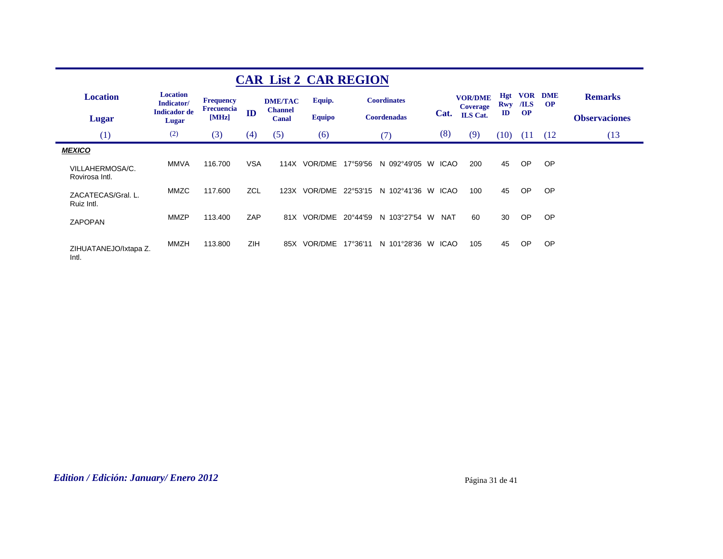|                                   |                               |                                       |            |                                  | <b>CAR List 2 CAR REGION</b> |          |                    |    |             |                                   |                   |                    |                        |                      |
|-----------------------------------|-------------------------------|---------------------------------------|------------|----------------------------------|------------------------------|----------|--------------------|----|-------------|-----------------------------------|-------------------|--------------------|------------------------|----------------------|
| <b>Location</b>                   | <b>Location</b><br>Indicator/ | <b>Frequency</b><br><b>Frecuencia</b> |            | <b>DME/TAC</b><br><b>Channel</b> | Equip.                       |          | <b>Coordinates</b> |    |             | <b>VOR/DME</b><br><b>Coverage</b> | Hgt<br><b>Rwy</b> | <b>VOR</b><br>/ILS | <b>DME</b><br>$\Omega$ | <b>Remarks</b>       |
| Lugar                             | <b>Indicador</b> de<br>Lugar  | [MHz]                                 | ID         | Canal                            | <b>Equipo</b>                |          | <b>Coordenadas</b> |    | Cat.        | <b>ILS</b> Cat.                   | $\mathbf{I}$      | <b>OP</b>          |                        | <b>Observaciones</b> |
| (1)                               | (2)                           | (3)                                   | (4)        | (5)                              | (6)                          |          | (7)                |    | (8)         | (9)                               | (10)              | (11)               | (12)                   | (13)                 |
| <b>MEXICO</b>                     |                               |                                       |            |                                  |                              |          |                    |    |             |                                   |                   |                    |                        |                      |
| VILLAHERMOSA/C.<br>Rovirosa Intl. | <b>MMVA</b>                   | 116.700                               | VSA        | 114X                             | VOR/DME                      | 17°59'56 | N 092°49'05        | W  | <b>ICAO</b> | 200                               | 45                | OP                 | <b>OP</b>              |                      |
| ZACATECAS/Gral. L.<br>Ruiz Intl.  | MMZC                          | 117.600                               | ZCL        | 123X                             | VOR/DME                      | 22°53'15 | N 102°41'36        | W. | ICAO        | 100                               | 45                | OP                 | <b>OP</b>              |                      |
| <b>ZAPOPAN</b>                    | <b>MMZP</b>                   | 113.400                               | ZAP        |                                  | 81X VOR/DME                  | 20°44'59 | N 103°27'54 W      |    | <b>NAT</b>  | 60                                | 30                | OP                 | <b>OP</b>              |                      |
| ZIHUATANEJO/Ixtapa Z.<br>Intl.    | <b>MMZH</b>                   | 113,800                               | <b>ZIH</b> | 85X                              | <b>VOR/DME</b>               | 17°36'11 | N 101°28'36        | W. | <b>ICAO</b> | 105                               | 45                | <b>OP</b>          | <b>OP</b>              |                      |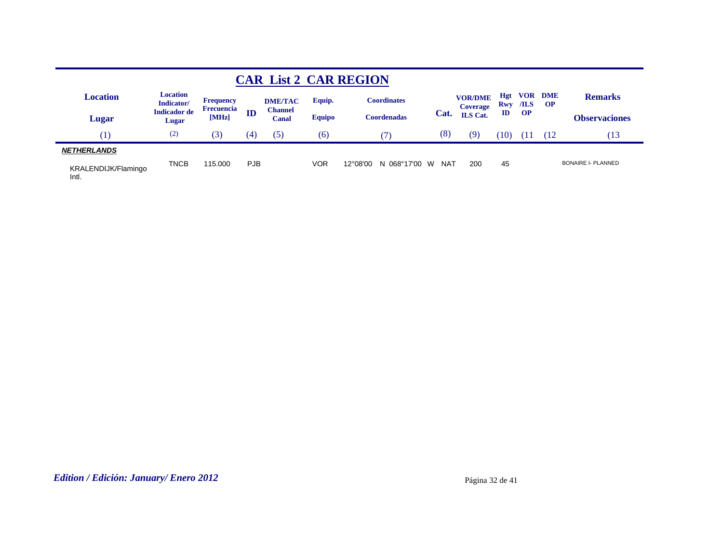|                              |                               |                     |            |                         |               | <b>CAR List 2 CAR REGION</b> |      |                            |                          |           |                             |                           |
|------------------------------|-------------------------------|---------------------|------------|-------------------------|---------------|------------------------------|------|----------------------------|--------------------------|-----------|-----------------------------|---------------------------|
| Location                     | <b>Location</b><br>Indicator/ | <b>Frequency</b>    |            | <b>DME/TAC</b>          | Equip.        | <b>Coordinates</b>           |      | <b>VOR/DME</b><br>Coverage | <b>Hgt</b><br><b>Rwy</b> | /ILS      | <b>VOR DME</b><br><b>OP</b> | <b>Remarks</b>            |
| Lugar                        | <b>Indicador de</b><br>Lugar  | Frecuencia<br>[MHz] | ID         | <b>Channel</b><br>Canal | <b>Equipo</b> | <b>Coordenadas</b>           | Cat. | <b>ILS</b> Cat.            | $\mathbf{ID}$            | <b>OP</b> |                             | <b>Observaciones</b>      |
| $\perp$                      | (2)                           | (3)                 | (4)        | (5)                     | (6)           |                              | (8)  | (9)                        | 10                       | п         | (12                         | Ί3                        |
| <b>NETHERLANDS</b>           |                               |                     |            |                         |               |                              |      |                            |                          |           |                             |                           |
| KRALENDIJK/Flamingo<br>Intl. | <b>TNCB</b>                   | 115,000             | <b>PJB</b> |                         | <b>VOR</b>    | 12°08'00<br>N 068°17'00 W    | NAT  | 200                        | 45                       |           |                             | <b>BONAIRE I- PLANNED</b> |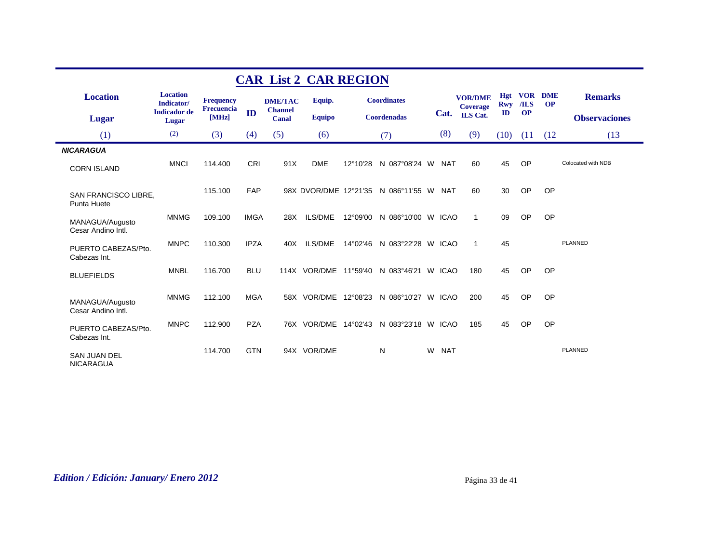| <b>CAR List 2 CAR REGION</b>            |                               |                     |             |                                |                |  |                                          |   |            |                            |                          |           |                             |                      |
|-----------------------------------------|-------------------------------|---------------------|-------------|--------------------------------|----------------|--|------------------------------------------|---|------------|----------------------------|--------------------------|-----------|-----------------------------|----------------------|
| <b>Location</b>                         | <b>Location</b><br>Indicator/ | <b>Frequency</b>    |             | <b>DME/TAC</b>                 | Equip.         |  | <b>Coordinates</b>                       |   |            | <b>VOR/DME</b><br>Coverage | <b>Hgt</b><br><b>Rwy</b> | $ILS$     | <b>VOR DME</b><br><b>OP</b> | <b>Remarks</b>       |
| Lugar                                   | <b>Indicador</b> de<br>Lugar  | Frecuencia<br>[MHz] | ID          | <b>Channel</b><br><b>Canal</b> | <b>Equipo</b>  |  | <b>Coordenadas</b>                       |   | Cat.       | <b>ILS</b> Cat.            | $\mathbf{ID}$            | <b>OP</b> |                             | <b>Observaciones</b> |
| (1)                                     | (2)                           | (3)                 | (4)         | (5)                            | (6)            |  | (7)                                      |   | (8)        | (9)                        | (10)                     | (11)      | (12)                        | (13)                 |
| <b>NICARAGUA</b>                        |                               |                     |             |                                |                |  |                                          |   |            |                            |                          |           |                             |                      |
| <b>CORN ISLAND</b>                      | <b>MNCI</b>                   | 114.400             | <b>CRI</b>  | 91X                            | <b>DME</b>     |  | 12°10'28 N 087°08'24 W NAT               |   |            | 60                         | 45                       | <b>OP</b> |                             | Colocated with NDB   |
| SAN FRANCISCO LIBRE,<br>Punta Huete     |                               | 115.100             | <b>FAP</b>  |                                |                |  | 98X DVOR/DME 12°21'35 N 086°11'55 W NAT  |   |            | 60                         | 30                       | <b>OP</b> | OP                          |                      |
| MANAGUA/Augusto<br>Cesar Andino Intl.   | <b>MNMG</b>                   | 109.100             | <b>IMGA</b> | 28X                            | ILS/DME        |  | 12°09'00 N 086°10'00 W ICAO              |   |            | $\mathbf{1}$               | 09                       | <b>OP</b> | OP                          |                      |
| PUERTO CABEZAS/Pto.<br>Cabezas Int.     | <b>MNPC</b>                   | 110.300             | <b>IPZA</b> | 40X                            | <b>ILS/DME</b> |  | 14°02'46 N 083°22'28 W ICAO              |   |            | $\mathbf{1}$               | 45                       |           |                             | <b>PLANNED</b>       |
| <b>BLUEFIELDS</b>                       | <b>MNBL</b>                   | 116,700             | <b>BLU</b>  |                                |                |  | 114X VOR/DME 11°59'40 N 083°46'21 W ICAO |   |            | 180                        | 45                       | <b>OP</b> | OP                          |                      |
| MANAGUA/Augusto<br>Cesar Andino Intl.   | <b>MNMG</b>                   | 112.100             | <b>MGA</b>  |                                |                |  | 58X VOR/DME 12°08'23 N 086°10'27 W ICAO  |   |            | 200                        | 45                       | <b>OP</b> | OP                          |                      |
| PUERTO CABEZAS/Pto.<br>Cabezas Int.     | <b>MNPC</b>                   | 112.900             | <b>PZA</b>  |                                |                |  | 76X VOR/DME 14°02'43 N 083°23'18 W ICAO  |   |            | 185                        | 45                       | OP        | OP                          |                      |
| <b>SAN JUAN DEL</b><br><b>NICARAGUA</b> |                               | 114.700             | <b>GTN</b>  |                                | 94X VOR/DME    |  | N                                        | W | <b>NAT</b> |                            |                          |           |                             | <b>PLANNED</b>       |

# *Edition / Edición: January/ Enero 2012* Página 33 de 41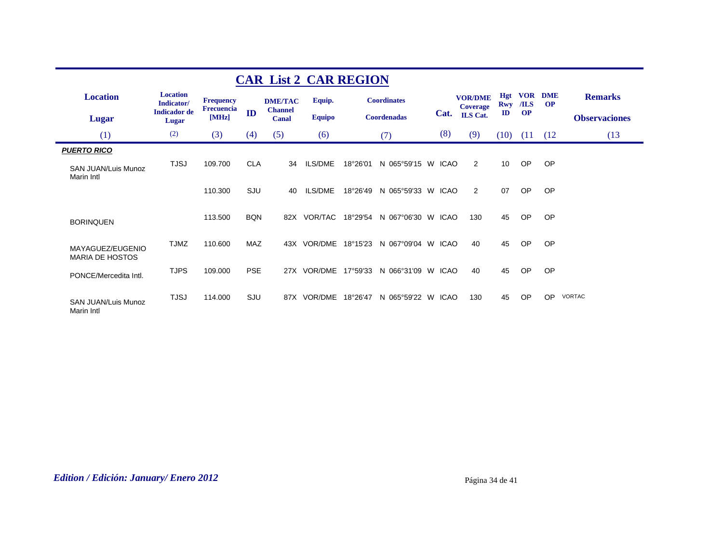|                                                                |                               |                                       |            |                                  | <b>CAR List 2 CAR REGION</b> |          |                    |             |                                   |                   |                     |                         |                      |
|----------------------------------------------------------------|-------------------------------|---------------------------------------|------------|----------------------------------|------------------------------|----------|--------------------|-------------|-----------------------------------|-------------------|---------------------|-------------------------|----------------------|
| <b>Location</b>                                                | <b>Location</b><br>Indicator/ | <b>Frequency</b><br><b>Frecuencia</b> |            | <b>DME/TAC</b><br><b>Channel</b> | Equip.                       |          | <b>Coordinates</b> |             | <b>VOR/DME</b><br><b>Coverage</b> | <b>Hgt</b><br>Rwy | <b>VOR</b><br>$ILS$ | <b>DME</b><br><b>OP</b> | <b>Remarks</b>       |
| <b>Lugar</b>                                                   | <b>Indicador</b> de<br>Lugar  | [MHz]                                 | ID         | Canal                            | <b>Equipo</b>                |          | <b>Coordenadas</b> | Cat.        | <b>ILS</b> Cat.                   | $\mathbf{ID}$     | <b>OP</b>           |                         | <b>Observaciones</b> |
| (1)                                                            | (2)                           | (3)                                   | (4)        | (5)                              | (6)                          |          | (7)                | (8)         | (9)                               | (10)              | (11)                | (12)                    | (13)                 |
| <b>PUERTO RICO</b><br><b>SAN JUAN/Luis Munoz</b><br>Marin Intl | <b>TJSJ</b>                   | 109.700                               | CLA        | 34                               | ILS/DME                      | 18°26'01 | N 065°59'15 W ICAO |             | 2                                 | 10 <sup>°</sup>   | <b>OP</b>           | OP                      |                      |
|                                                                |                               | 110.300                               | SJU        | 40                               | ILS/DME                      | 18°26'49 | N 065°59'33 W ICAO |             | 2                                 | 07                | OP                  | OP                      |                      |
| <b>BORINQUEN</b>                                               |                               | 113.500                               | <b>BQN</b> | 82X                              | VOR/TAC                      | 18°29'54 | N 067°06'30 W      | <b>ICAO</b> | 130                               | 45                | OP                  | OP                      |                      |
| MAYAGUEZ/EUGENIO<br><b>MARIA DE HOSTOS</b>                     | <b>TJMZ</b>                   | 110.600                               | <b>MAZ</b> |                                  | 43X VOR/DME                  | 18°15'23 | N 067°09'04 W ICAO |             | 40                                | 45                | OP                  | OP                      |                      |
| PONCE/Mercedita Intl.                                          | <b>TJPS</b>                   | 109.000                               | <b>PSE</b> |                                  | 27X VOR/DME                  | 17°59'33 | N 066°31'09 W ICAO |             | 40                                | 45                | OP                  | OP                      |                      |
| <b>SAN JUAN/Luis Munoz</b><br>Marin Intl                       | <b>TJSJ</b>                   | 114.000                               | SJU        |                                  | 87X VOR/DME                  | 18°26'47 | N 065°59'22 W ICAO |             | 130                               | 45                | OP                  | OP                      | <b>VORTAC</b>        |

## *Edition / Edición: January/ Enero 2012* Página 34 de 41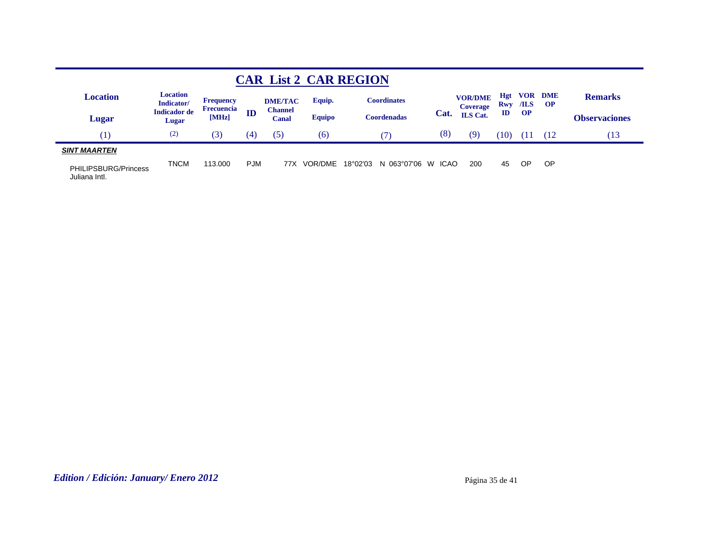|                                       |                               |                                |            |                         |               | <b>CAR List 2 CAR REGION</b> |                   |                                   |               |           |                        |                      |
|---------------------------------------|-------------------------------|--------------------------------|------------|-------------------------|---------------|------------------------------|-------------------|-----------------------------------|---------------|-----------|------------------------|----------------------|
| Location                              | <b>Location</b><br>Indicator/ | <b>Frequency</b><br>Frecuencia |            | <b>DME/TAC</b>          | Equip.        | <b>Coordinates</b>           |                   | <b>VOR/DME</b><br><b>Coverage</b> | Hgt<br>Rwy    | /ILS      | <b>VOR DME</b><br>- OP | <b>Remarks</b>       |
| Lugar                                 | <b>Indicador</b> de<br>Lugar  | [MHz]                          | ID         | <b>Channel</b><br>Canal | <b>Equipo</b> | <b>Coordenadas</b>           | Cat.              | <b>ILS</b> Cat.                   | $\mathbf{ID}$ | <b>OP</b> |                        | <b>Observaciones</b> |
| [1]                                   | (2)                           | (3)                            | (4)        | (5)                     | (6)           |                              | (8)               | (9)                               | 10)           | Ί1        | (12                    | Ί3                   |
| <b>SINT MAARTEN</b>                   |                               |                                |            |                         |               |                              |                   |                                   |               |           |                        |                      |
| PHILIPSBURG/Princess<br>Juliana Intl. | <b>TNCM</b>                   | 113,000                        | <b>PJM</b> | 77X                     | VOR/DME       | 18°02'03<br>N 063°07'06      | <b>ICAO</b><br>W. | 200                               | 45            | ОP        | OP                     |                      |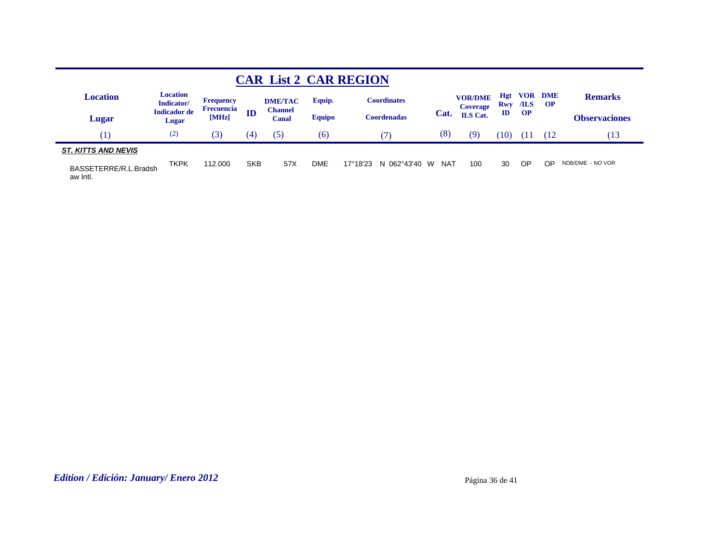|                                   |                               |                                       |            |                                  |               | <b>CAR List 2 CAR REGION</b>     |          |                                   |                          |             |                         |                      |
|-----------------------------------|-------------------------------|---------------------------------------|------------|----------------------------------|---------------|----------------------------------|----------|-----------------------------------|--------------------------|-------------|-------------------------|----------------------|
| <b>Location</b>                   | <b>Location</b><br>Indicator/ | <b>Frequency</b><br><b>Frecuencia</b> |            | <b>DME/TAC</b><br><b>Channel</b> | Equip.        | <b>Coordinates</b>               |          | <b>VOR/DME</b><br><b>Coverage</b> | <b>Hgt</b><br><b>Rwy</b> | VOR<br>/ILS | <b>DME</b><br><b>OP</b> | <b>Remarks</b>       |
| Lugar                             | <b>Indicador</b> de<br>Lugar  | [MHz]                                 | ID         | Canal                            | <b>Equipo</b> | <b>Coordenadas</b>               | Cat.     | <b>ILS</b> Cat.                   | $\mathbf{ID}$            | <b>OP</b>   |                         | <b>Observaciones</b> |
| Ί                                 | (2)                           | (3)                                   | (4)        | (5)                              | (6)           | 7)                               | (8)      | (9)                               | (10                      |             | (12)                    | (13                  |
| <b>ST. KITTS AND NEVIS</b>        |                               |                                       |            |                                  |               |                                  |          |                                   |                          |             |                         |                      |
| BASSETERRE/R.L.Bradsh<br>aw Intl. | <b>TKPK</b>                   | 112.000                               | <b>SKB</b> | 57X                              | DME           | $17^{\circ}18'23$<br>N 062°43'40 | NAT<br>W | 100                               | 30                       | <b>OP</b>   | <b>OP</b>               | NDB/DME - NO VOR     |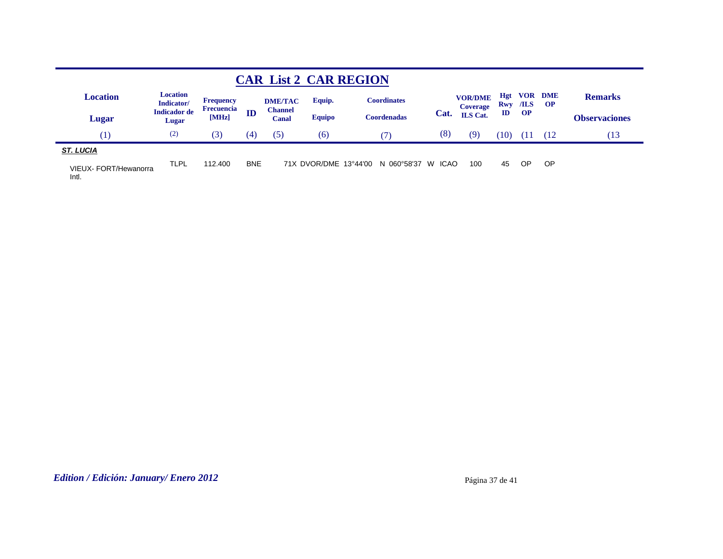| <b>CAR List 2 CAR REGION</b>   |                               |                            |            |                         |               |                                     |      |                            |      |                 |                        |                      |  |
|--------------------------------|-------------------------------|----------------------------|------------|-------------------------|---------------|-------------------------------------|------|----------------------------|------|-----------------|------------------------|----------------------|--|
| <b>Location</b>                | <b>Location</b><br>Indicator/ | <b>Frequency</b>           |            | <b>DME/TAC</b>          | Equip.        | <b>Coordinates</b>                  |      | <b>VOR/DME</b><br>Coverage | Hgt  | <b>Rwy</b> /ILS | <b>VOR DME</b><br>– OP | <b>Remarks</b>       |  |
| Lugar                          | <b>Indicador de</b><br>Lugar  | <b>Frecuencia</b><br>[MHz] | ID         | <b>Channel</b><br>Canal | <b>Equipo</b> | Coordenadas                         | Cat. | <b>ILS</b> Cat.            | ID   | <b>OP</b>       |                        | <b>Observaciones</b> |  |
| $\perp$                        | (2)                           | (3)                        | (4)        | (5)                     | (6)           |                                     | (8)  | (9)                        | (10) |                 | (12                    | (13                  |  |
| <b>ST. LUCIA</b>               |                               |                            |            |                         |               |                                     |      |                            |      |                 |                        |                      |  |
| VIEUX- FORT/Hewanorra<br>Intl. | TLPL                          | 112.400                    | <b>BNE</b> |                         |               | 71X DVOR/DME 13°44'00 N 060°58'37 W | ICAO | 100                        | 45   | ΟP              | OP                     |                      |  |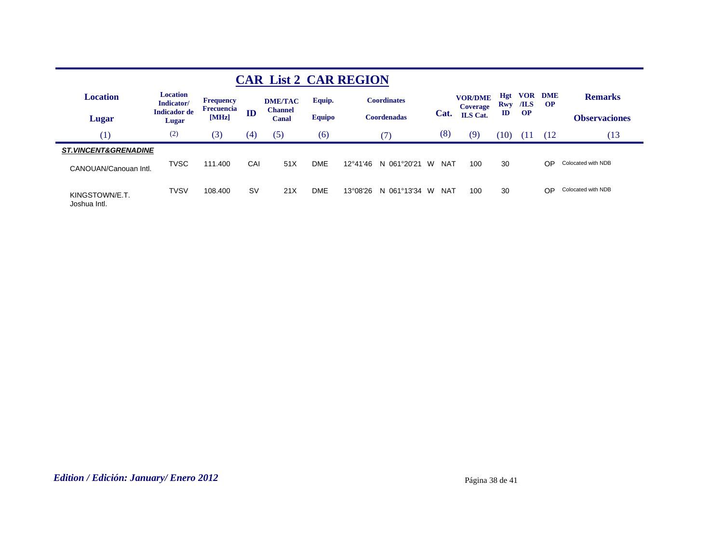| <b>CAR List 2 CAR REGION</b>                             |                               |                            |           |                         |               |                            |                 |                                   |                          |                    |                         |                      |  |
|----------------------------------------------------------|-------------------------------|----------------------------|-----------|-------------------------|---------------|----------------------------|-----------------|-----------------------------------|--------------------------|--------------------|-------------------------|----------------------|--|
| <b>Location</b>                                          | <b>Location</b><br>Indicator/ | <b>Frequency</b>           |           | <b>DME/TAC</b>          | Equip.        | <b>Coordinates</b>         |                 | <b>VOR/DME</b><br><b>Coverage</b> | <b>Hgt</b><br><b>Rwy</b> | <b>VOR</b><br>/ILS | <b>DME</b><br><b>OP</b> | <b>Remarks</b>       |  |
| Lugar                                                    | <b>Indicador de</b><br>Lugar  | <b>Frecuencia</b><br>[MHz] | ID        | <b>Channel</b><br>Canal | <b>Equipo</b> | <b>Coordenadas</b>         | Cat.            | <b>ILS</b> Cat.                   | ID                       | <b>OP</b>          |                         | <b>Observaciones</b> |  |
| $\left( \begin{smallmatrix} 1 \end{smallmatrix} \right)$ | (2)                           | (3)                        | (4)       | (5)                     | (6)           | $\mathcal{T}$              | (8)             | (9)                               | (10)                     | 91                 | (12)                    | (13                  |  |
| <b>ST. VINCENT&amp;GRENADINE</b>                         |                               |                            |           |                         |               |                            |                 |                                   |                          |                    |                         |                      |  |
| CANOUAN/Canouan Intl.                                    | <b>TVSC</b>                   | 111.400                    | CAI       | 51X                     | <b>DME</b>    | 12°41'46<br>061°20'21<br>N | W<br><b>NAT</b> | 100                               | 30                       |                    | OP                      | Colocated with NDB   |  |
| KINGSTOWN/E.T.<br>Joshua Intl.                           | <b>TVSV</b>                   | 108.400                    | <b>SV</b> | 21X                     | <b>DME</b>    | 13°08'26<br>061°13'34<br>N | <b>NAT</b><br>W | 100                               | 30                       |                    | OP                      | Colocated with NDB   |  |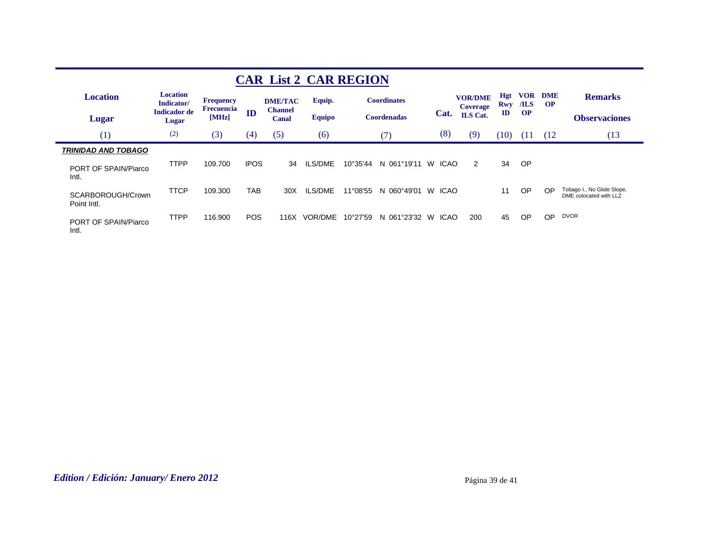| <b>CAR List 2 CAR REGION</b>     |                               |                     |             |                         |               |                   |                    |                  |                                                      |                             |                    |                        |                                                      |
|----------------------------------|-------------------------------|---------------------|-------------|-------------------------|---------------|-------------------|--------------------|------------------|------------------------------------------------------|-----------------------------|--------------------|------------------------|------------------------------------------------------|
| <b>Location</b>                  | <b>Location</b><br>Indicator/ | <b>Frequency</b>    |             | <b>DME/TAC</b>          | Equip.        |                   | <b>Coordinates</b> |                  | <b>VOR/DME</b><br><b>Coverage</b><br><b>ILS</b> Cat. | Hgt<br>Rwy<br>$\mathbf{ID}$ | <b>VOR</b><br>/ILS | <b>DME</b><br>$\Omega$ | <b>Remarks</b>                                       |
| Lugar                            | <b>Indicador de</b><br>Lugar  | Frecuencia<br>[MHz] | ID          | <b>Channel</b><br>Canal | <b>Equipo</b> |                   | <b>Coordenadas</b> | Cat.             |                                                      |                             | <b>OP</b>          |                        | <b>Observaciones</b>                                 |
| (1)                              | (2)                           | (3)                 | (4)         | (5)                     | (6)           |                   | (7)                | (8)              | (9)                                                  | (10)                        | -611               | (12                    | (13                                                  |
| <b>TRINIDAD AND TOBAGO</b>       |                               |                     |             |                         |               |                   |                    |                  |                                                      |                             |                    |                        |                                                      |
| PORT OF SPAIN/Piarco<br>Intl.    | <b>TTPP</b>                   | 109.700             | <b>IPOS</b> | 34                      | ILS/DME       | $10^{\circ}35'44$ | N 061°19'11        | W<br><b>ICAO</b> | 2                                                    | 34                          | <b>OP</b>          |                        |                                                      |
| SCARBOROUGH/Crown<br>Point Intl. | <b>TTCP</b>                   | 109.300             | TAB         | 30 <sub>X</sub>         | ILS/DME       | $11^{\circ}08'55$ | N 060°49'01        | <b>ICAO</b><br>W |                                                      | 11                          | OP                 | OP                     | Tobago I., No Glide Slope,<br>DME colocated with LLZ |
| PORT OF SPAIN/Piarco<br>Intl.    | <b>TTPP</b>                   | 116.900             | <b>POS</b>  | 116X                    | VOR/DME       | $10^{\circ}27'59$ | 061°23'32<br>N.    | <b>ICAO</b><br>W | 200                                                  | 45                          | OP                 | OP.                    | <b>DVOR</b>                                          |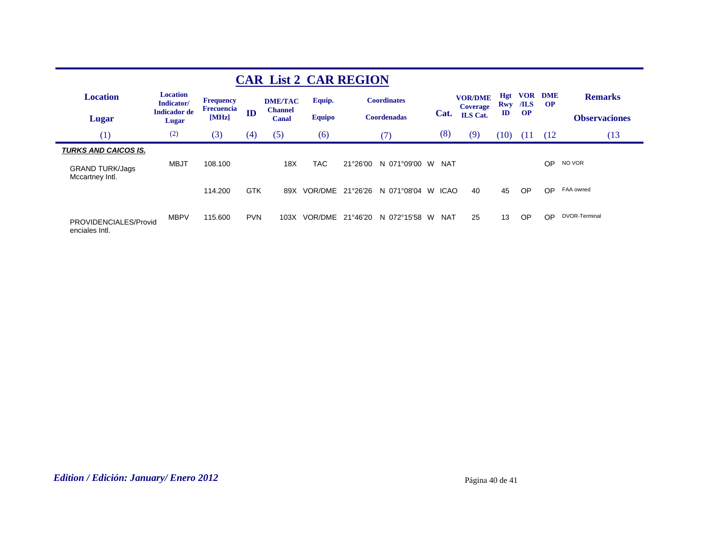| <b>CAR List 2 CAR REGION</b>                                             |                               |                                       |            |                         |               |          |                    |                   |                                   |                             |                                         |                        |                      |
|--------------------------------------------------------------------------|-------------------------------|---------------------------------------|------------|-------------------------|---------------|----------|--------------------|-------------------|-----------------------------------|-----------------------------|-----------------------------------------|------------------------|----------------------|
| <b>Location</b>                                                          | <b>Location</b><br>Indicator/ | <b>Frequency</b><br><b>Frecuencia</b> |            | <b>DME/TAC</b>          | Equip.        |          | <b>Coordinates</b> |                   | <b>VOR/DME</b><br><b>Coverage</b> | Hgt<br>Rwy<br>$\mathbf{ID}$ | <b>VOR</b><br>$\sqrt{ILS}$<br><b>OP</b> | <b>DME</b><br>$\Omega$ | <b>Remarks</b>       |
| Lugar                                                                    | <b>Indicador de</b><br>Lugar  | [MHz]                                 | ID         | <b>Channel</b><br>Canal | <b>Equipo</b> |          | <b>Coordenadas</b> | Cat.              | <b>ILS</b> Cat.                   |                             |                                         |                        | <b>Observaciones</b> |
| (1)                                                                      | (2)                           | (3)                                   | (4)        | (5)                     | (6)           |          | (7)                | (8)               | (9)                               | (10)                        | (11)                                    | (12                    | (13)                 |
| <b>TURKS AND CAICOS IS.</b><br><b>GRAND TURK/Jags</b><br>Mccartney Intl. | <b>MBJT</b>                   | 108.100                               |            | 18X                     | <b>TAC</b>    | 21°26'00 | N 071°09'00        | <b>NAT</b><br>W.  |                                   |                             |                                         | <b>OP</b>              | NO VOR               |
|                                                                          |                               | 114.200                               | <b>GTK</b> | 89X                     | VOR/DME       | 21°26'26 | N 071°08'04        | <b>ICAO</b><br>W. | 40                                | 45                          | <b>OP</b>                               | OP                     | FAA owned            |
| PROVIDENCIALES/Provid<br>enciales Intl.                                  | <b>MBPV</b>                   | 115,600                               | <b>PVN</b> | 103X                    | VOR/DME       | 21°46'20 | N 072°15'58 W      | <b>NAT</b>        | 25                                | 13                          | OP                                      | <b>OP</b>              | DVOR-Terminal        |